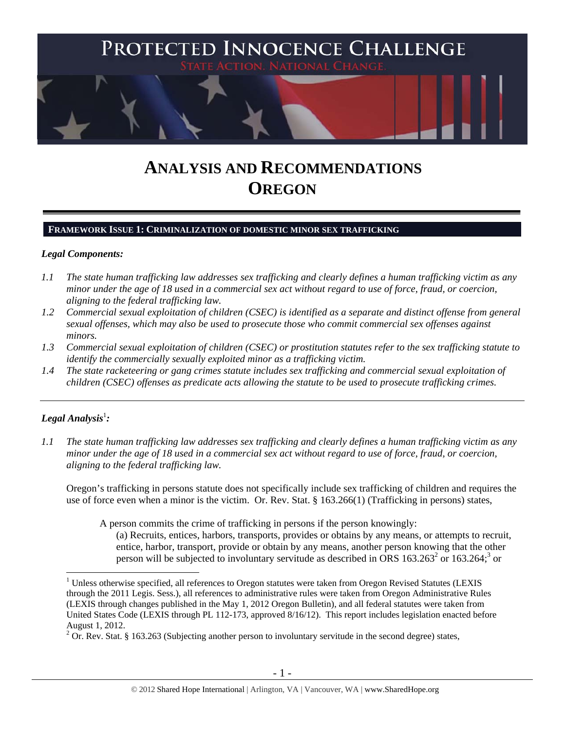

# **ANALYSIS AND RECOMMENDATIONS OREGON**

## **FRAMEWORK ISSUE 1: CRIMINALIZATION OF DOMESTIC MINOR SEX TRAFFICKING**

## *Legal Components:*

- *1.1 The state human trafficking law addresses sex trafficking and clearly defines a human trafficking victim as any minor under the age of 18 used in a commercial sex act without regard to use of force, fraud, or coercion, aligning to the federal trafficking law.*
- *1.2 Commercial sexual exploitation of children (CSEC) is identified as a separate and distinct offense from general sexual offenses, which may also be used to prosecute those who commit commercial sex offenses against minors.*
- *1.3 Commercial sexual exploitation of children (CSEC) or prostitution statutes refer to the sex trafficking statute to identify the commercially sexually exploited minor as a trafficking victim.*
- *1.4 The state racketeering or gang crimes statute includes sex trafficking and commercial sexual exploitation of children (CSEC) offenses as predicate acts allowing the statute to be used to prosecute trafficking crimes.*

# $\bm{\mathit{Legal\, Analysis^1:}}$

 $\overline{a}$ 

*1.1 The state human trafficking law addresses sex trafficking and clearly defines a human trafficking victim as any minor under the age of 18 used in a commercial sex act without regard to use of force, fraud, or coercion, aligning to the federal trafficking law.* 

Oregon's trafficking in persons statute does not specifically include sex trafficking of children and requires the use of force even when a minor is the victim. Or. Rev. Stat. § 163.266(1) (Trafficking in persons) states,

A person commits the crime of trafficking in persons if the person knowingly:

(a) Recruits, entices, harbors, transports, provides or obtains by any means, or attempts to recruit, entice, harbor, transport, provide or obtain by any means, another person knowing that the other person will be subjected to involuntary servitude as described in ORS  $163.263^2$  or  $163.264$ ; or

<sup>&</sup>lt;sup>1</sup> Unless otherwise specified, all references to Oregon statutes were taken from Oregon Revised Statutes (LEXIS through the 2011 Legis. Sess.), all references to administrative rules were taken from Oregon Administrative Rules (LEXIS through changes published in the May 1, 2012 Oregon Bulletin), and all federal statutes were taken from United States Code (LEXIS through PL 112-173, approved 8/16/12). This report includes legislation enacted before August 1, 2012.

 $2$  Or. Rev. Stat. § 163.263 (Subjecting another person to involuntary servitude in the second degree) states,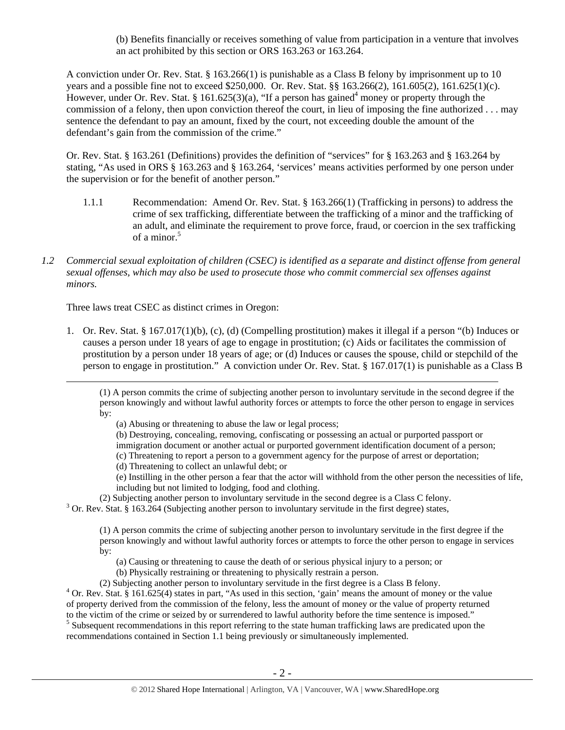(b) Benefits financially or receives something of value from participation in a venture that involves an act prohibited by this section or ORS 163.263 or 163.264.

A conviction under Or. Rev. Stat. § 163.266(1) is punishable as a Class B felony by imprisonment up to 10 years and a possible fine not to exceed \$250,000. Or. Rev. Stat. §§ 163.266(2), 161.605(2), 161.625(1)(c). However, under Or. Rev. Stat. § 161.625(3)(a), "If a person has gained<sup>4</sup> money or property through the commission of a felony, then upon conviction thereof the court, in lieu of imposing the fine authorized . . . may sentence the defendant to pay an amount, fixed by the court, not exceeding double the amount of the defendant's gain from the commission of the crime."

Or. Rev. Stat. § 163.261 (Definitions) provides the definition of "services" for § 163.263 and § 163.264 by stating, "As used in ORS § 163.263 and § 163.264, 'services' means activities performed by one person under the supervision or for the benefit of another person."

- 1.1.1 Recommendation: Amend Or. Rev. Stat. § 163.266(1) (Trafficking in persons) to address the crime of sex trafficking, differentiate between the trafficking of a minor and the trafficking of an adult, and eliminate the requirement to prove force, fraud, or coercion in the sex trafficking of a minor.<sup>5</sup>
- *1.2 Commercial sexual exploitation of children (CSEC) is identified as a separate and distinct offense from general sexual offenses, which may also be used to prosecute those who commit commercial sex offenses against minors.*

Three laws treat CSEC as distinct crimes in Oregon:

1. Or. Rev. Stat. § 167.017(1)(b), (c), (d) (Compelling prostitution) makes it illegal if a person "(b) Induces or causes a person under 18 years of age to engage in prostitution; (c) Aids or facilitates the commission of prostitution by a person under 18 years of age; or (d) Induces or causes the spouse, child or stepchild of the person to engage in prostitution." A conviction under Or. Rev. Stat. § 167.017(1) is punishable as a Class B

(a) Abusing or threatening to abuse the law or legal process;

(b) Destroying, concealing, removing, confiscating or possessing an actual or purported passport or immigration document or another actual or purported government identification document of a person;

- (c) Threatening to report a person to a government agency for the purpose of arrest or deportation;
- (d) Threatening to collect an unlawful debt; or

(e) Instilling in the other person a fear that the actor will withhold from the other person the necessities of life, including but not limited to lodging, food and clothing.

(2) Subjecting another person to involuntary servitude in the second degree is a Class C felony. 3

<sup>3</sup> Or. Rev. Stat. § 163.264 (Subjecting another person to involuntary servitude in the first degree) states,

(1) A person commits the crime of subjecting another person to involuntary servitude in the first degree if the person knowingly and without lawful authority forces or attempts to force the other person to engage in services by:

(a) Causing or threatening to cause the death of or serious physical injury to a person; or

- (b) Physically restraining or threatening to physically restrain a person.
- (2) Subjecting another person to involuntary servitude in the first degree is a Class B felony. 4

 Or. Rev. Stat. § 161.625(4) states in part, "As used in this section, 'gain' means the amount of money or the value of property derived from the commission of the felony, less the amount of money or the value of property returned to the victim of the crime or seized by or surrendered to lawful authority before the time sentence is imposed."

<sup>5</sup> Subsequent recommendations in this report referring to the state human trafficking laws are predicated upon the recommendations contained in Section 1.1 being previously or simultaneously implemented.

 <sup>(1)</sup> A person commits the crime of subjecting another person to involuntary servitude in the second degree if the person knowingly and without lawful authority forces or attempts to force the other person to engage in services by: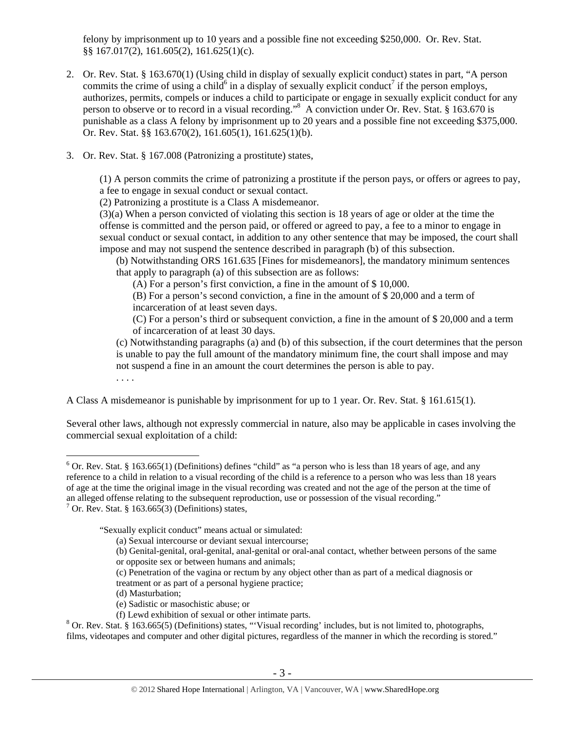felony by imprisonment up to 10 years and a possible fine not exceeding \$250,000. Or. Rev. Stat. §§ 167.017(2), 161.605(2), 161.625(1)(c).

- 2. Or. Rev. Stat. § 163.670(1) (Using child in display of sexually explicit conduct) states in part, "A person commits the crime of using a child<sup>6</sup> in a display of sexually explicit conduct<sup>7</sup> if the person employs, authorizes, permits, compels or induces a child to participate or engage in sexually explicit conduct for any person to observe or to record in a visual recording."<sup>8</sup> A conviction under Or. Rev. Stat. § 163.670 is punishable as a class A felony by imprisonment up to 20 years and a possible fine not exceeding \$375,000. Or. Rev. Stat. §§ 163.670(2), 161.605(1), 161.625(1)(b).
- 3. Or. Rev. Stat. § 167.008 (Patronizing a prostitute) states,

(1) A person commits the crime of patronizing a prostitute if the person pays, or offers or agrees to pay, a fee to engage in sexual conduct or sexual contact.

(2) Patronizing a prostitute is a Class A misdemeanor.

(3)(a) When a person convicted of violating this section is 18 years of age or older at the time the offense is committed and the person paid, or offered or agreed to pay, a fee to a minor to engage in sexual conduct or sexual contact, in addition to any other sentence that may be imposed, the court shall impose and may not suspend the sentence described in paragraph (b) of this subsection.

(b) Notwithstanding ORS 161.635 [Fines for misdemeanors], the mandatory minimum sentences that apply to paragraph (a) of this subsection are as follows:

(A) For a person's first conviction, a fine in the amount of \$ 10,000.

(B) For a person's second conviction, a fine in the amount of \$ 20,000 and a term of incarceration of at least seven days.

(C) For a person's third or subsequent conviction, a fine in the amount of \$ 20,000 and a term of incarceration of at least 30 days.

(c) Notwithstanding paragraphs (a) and (b) of this subsection, if the court determines that the person is unable to pay the full amount of the mandatory minimum fine, the court shall impose and may not suspend a fine in an amount the court determines the person is able to pay.

. . . .

 $\overline{a}$ 

A Class A misdemeanor is punishable by imprisonment for up to 1 year. Or. Rev. Stat. § 161.615(1).

Several other laws, although not expressly commercial in nature, also may be applicable in cases involving the commercial sexual exploitation of a child:

"Sexually explicit conduct" means actual or simulated:

- (a) Sexual intercourse or deviant sexual intercourse;
- (b) Genital-genital, oral-genital, anal-genital or oral-anal contact, whether between persons of the same or opposite sex or between humans and animals;
- (c) Penetration of the vagina or rectum by any object other than as part of a medical diagnosis or
- treatment or as part of a personal hygiene practice;
- (d) Masturbation;
- (e) Sadistic or masochistic abuse; or
- (f) Lewd exhibition of sexual or other intimate parts. 8

 $8$  Or. Rev. Stat. § 163.665(5) (Definitions) states, "Visual recording' includes, but is not limited to, photographs, films, videotapes and computer and other digital pictures, regardless of the manner in which the recording is stored."

 $6$  Or. Rev. Stat. § 163.665(1) (Definitions) defines "child" as "a person who is less than 18 years of age, and any reference to a child in relation to a visual recording of the child is a reference to a person who was less than 18 years of age at the time the original image in the visual recording was created and not the age of the person at the time of an alleged offense relating to the subsequent reproduction, use or possession of the visual recording." <sup>7</sup> Or. Rev. Stat. § 163.665(3) (Definitions) states,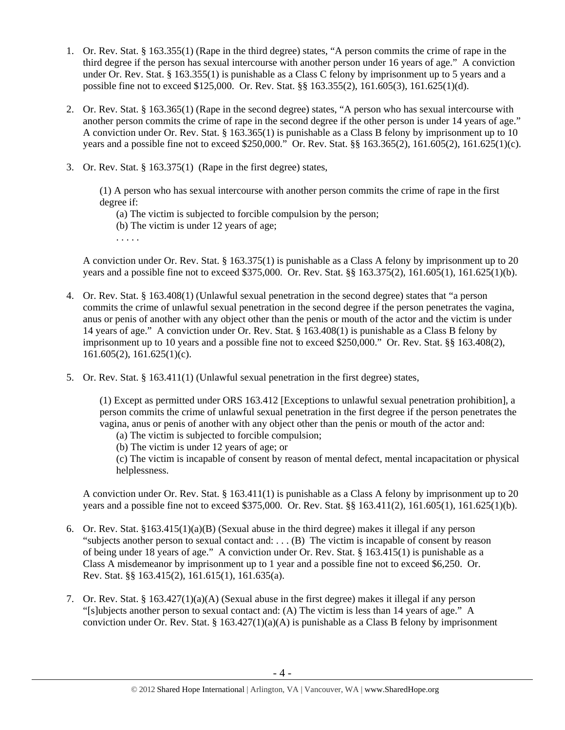- 1. Or. Rev. Stat. § 163.355(1) (Rape in the third degree) states, "A person commits the crime of rape in the third degree if the person has sexual intercourse with another person under 16 years of age." A conviction under Or. Rev. Stat. § 163.355(1) is punishable as a Class C felony by imprisonment up to 5 years and a possible fine not to exceed \$125,000. Or. Rev. Stat. §§ 163.355(2), 161.605(3), 161.625(1)(d).
- 2. Or. Rev. Stat. § 163.365(1) (Rape in the second degree) states, "A person who has sexual intercourse with another person commits the crime of rape in the second degree if the other person is under 14 years of age." A conviction under Or. Rev. Stat. § 163.365(1) is punishable as a Class B felony by imprisonment up to 10 years and a possible fine not to exceed \$250,000." Or. Rev. Stat. §§ 163.365(2), 161.605(2), 161.625(1)(c).
- 3. Or. Rev. Stat. § 163.375(1) (Rape in the first degree) states,

(1) A person who has sexual intercourse with another person commits the crime of rape in the first degree if:

- (a) The victim is subjected to forcible compulsion by the person;
- (b) The victim is under 12 years of age;
- . . . . .

A conviction under Or. Rev. Stat. § 163.375(1) is punishable as a Class A felony by imprisonment up to 20 years and a possible fine not to exceed \$375,000. Or. Rev. Stat. §§ 163.375(2), 161.605(1), 161.625(1)(b).

- 4. Or. Rev. Stat. § 163.408(1) (Unlawful sexual penetration in the second degree) states that "a person commits the crime of unlawful sexual penetration in the second degree if the person penetrates the vagina, anus or penis of another with any object other than the penis or mouth of the actor and the victim is under 14 years of age." A conviction under Or. Rev. Stat. § 163.408(1) is punishable as a Class B felony by imprisonment up to 10 years and a possible fine not to exceed \$250,000." Or. Rev. Stat. §§ 163.408(2),  $161.605(2)$ ,  $161.625(1)(c)$ .
- 5. Or. Rev. Stat. § 163.411(1) (Unlawful sexual penetration in the first degree) states,

(1) Except as permitted under ORS 163.412 [Exceptions to unlawful sexual penetration prohibition], a person commits the crime of unlawful sexual penetration in the first degree if the person penetrates the vagina, anus or penis of another with any object other than the penis or mouth of the actor and:

- (a) The victim is subjected to forcible compulsion; (b) The victim is under 12 years of age; or
- 

(c) The victim is incapable of consent by reason of mental defect, mental incapacitation or physical helplessness.

A conviction under Or. Rev. Stat. § 163.411(1) is punishable as a Class A felony by imprisonment up to 20 years and a possible fine not to exceed \$375,000. Or. Rev. Stat. §§ 163.411(2), 161.605(1), 161.625(1)(b).

- 6. Or. Rev. Stat. §163.415(1)(a)(B) (Sexual abuse in the third degree) makes it illegal if any person "subjects another person to sexual contact and: . . . (B) The victim is incapable of consent by reason of being under 18 years of age." A conviction under Or. Rev. Stat. § 163.415(1) is punishable as a Class A misdemeanor by imprisonment up to 1 year and a possible fine not to exceed \$6,250. Or. Rev. Stat. §§ 163.415(2), 161.615(1), 161.635(a).
- 7. Or. Rev. Stat. § 163.427(1)(a)(A) (Sexual abuse in the first degree) makes it illegal if any person "[s]ubjects another person to sexual contact and: (A) The victim is less than 14 years of age." A conviction under Or. Rev. Stat. §  $163.427(1)(a)(A)$  is punishable as a Class B felony by imprisonment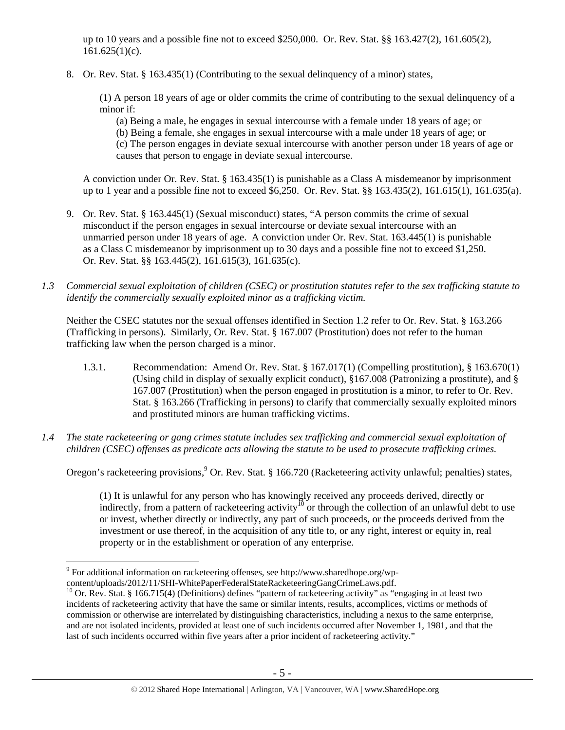up to 10 years and a possible fine not to exceed \$250,000. Or. Rev. Stat. §§ 163.427(2), 161.605(2),  $161.625(1)(c)$ .

8. Or. Rev. Stat. § 163.435(1) (Contributing to the sexual delinquency of a minor) states,

(1) A person 18 years of age or older commits the crime of contributing to the sexual delinquency of a minor if:

(a) Being a male, he engages in sexual intercourse with a female under 18 years of age; or (b) Being a female, she engages in sexual intercourse with a male under 18 years of age; or (c) The person engages in deviate sexual intercourse with another person under 18 years of age or causes that person to engage in deviate sexual intercourse.

A conviction under Or. Rev. Stat. § 163.435(1) is punishable as a Class A misdemeanor by imprisonment up to 1 year and a possible fine not to exceed \$6,250. Or. Rev. Stat. §§ 163.435(2), 161.615(1), 161.635(a).

- 9. Or. Rev. Stat. § 163.445(1) (Sexual misconduct) states, "A person commits the crime of sexual misconduct if the person engages in sexual intercourse or deviate sexual intercourse with an unmarried person under 18 years of age. A conviction under Or. Rev. Stat. 163.445(1) is punishable as a Class C misdemeanor by imprisonment up to 30 days and a possible fine not to exceed \$1,250. Or. Rev. Stat. §§ 163.445(2), 161.615(3), 161.635(c).
- *1.3 Commercial sexual exploitation of children (CSEC) or prostitution statutes refer to the sex trafficking statute to identify the commercially sexually exploited minor as a trafficking victim.*

Neither the CSEC statutes nor the sexual offenses identified in Section 1.2 refer to Or. Rev. Stat. § 163.266 (Trafficking in persons). Similarly, Or. Rev. Stat. § 167.007 (Prostitution) does not refer to the human trafficking law when the person charged is a minor.

- 1.3.1. Recommendation: Amend Or. Rev. Stat. § 167.017(1) (Compelling prostitution), § 163.670(1) (Using child in display of sexually explicit conduct), §167.008 (Patronizing a prostitute), and § 167.007 (Prostitution) when the person engaged in prostitution is a minor, to refer to Or. Rev. Stat. § 163.266 (Trafficking in persons) to clarify that commercially sexually exploited minors and prostituted minors are human trafficking victims.
- *1.4 The state racketeering or gang crimes statute includes sex trafficking and commercial sexual exploitation of children (CSEC) offenses as predicate acts allowing the statute to be used to prosecute trafficking crimes.*

Oregon's racketeering provisions, <sup>9</sup> Or. Rev. Stat. § 166.720 (Racketeering activity unlawful; penalties) states,

(1) It is unlawful for any person who has knowingly received any proceeds derived, directly or indirectly, from a pattern of racketeering activity<sup>10</sup> or through the collection of an unlawful debt to use or invest, whether directly or indirectly, any part of such proceeds, or the proceeds derived from the investment or use thereof, in the acquisition of any title to, or any right, interest or equity in, real property or in the establishment or operation of any enterprise.

 $\overline{a}$ <sup>9</sup> For additional information on racketeering offenses, see http://www.sharedhope.org/wp-

content/uploads/2012/11/SHI-WhitePaperFederalStateRacketeeringGangCrimeLaws.pdf.<br><sup>10</sup> Or. Rev. Stat. § 166.715(4) (Definitions) defines "pattern of racketeering activity" as "engaging in at least two incidents of racketeering activity that have the same or similar intents, results, accomplices, victims or methods of commission or otherwise are interrelated by distinguishing characteristics, including a nexus to the same enterprise, and are not isolated incidents, provided at least one of such incidents occurred after November 1, 1981, and that the last of such incidents occurred within five years after a prior incident of racketeering activity."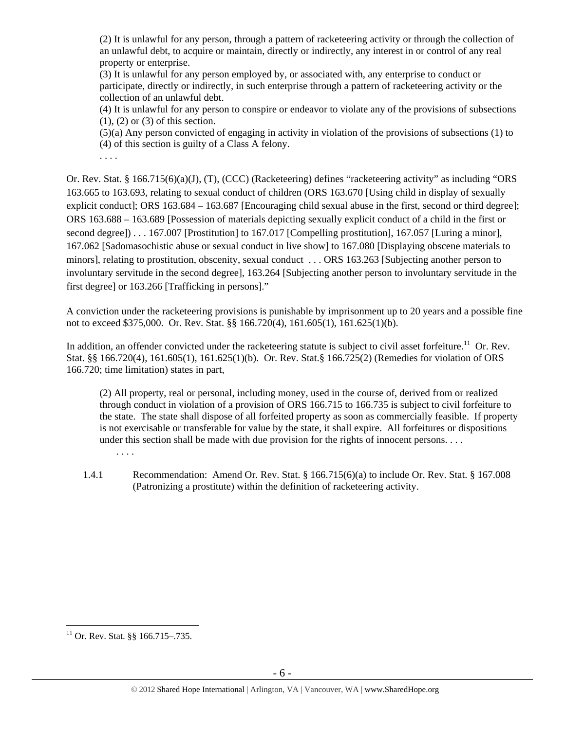(2) It is unlawful for any person, through a pattern of racketeering activity or through the collection of an unlawful debt, to acquire or maintain, directly or indirectly, any interest in or control of any real property or enterprise.

(3) It is unlawful for any person employed by, or associated with, any enterprise to conduct or participate, directly or indirectly, in such enterprise through a pattern of racketeering activity or the collection of an unlawful debt.

(4) It is unlawful for any person to conspire or endeavor to violate any of the provisions of subsections (1), (2) or (3) of this section.

(5)(a) Any person convicted of engaging in activity in violation of the provisions of subsections (1) to (4) of this section is guilty of a Class A felony.

. . . .

Or. Rev. Stat. § 166.715(6)(a)(J), (T), (CCC) (Racketeering) defines "racketeering activity" as including "ORS 163.665 to 163.693, relating to sexual conduct of children (ORS 163.670 [Using child in display of sexually explicit conduct]; ORS 163.684 – 163.687 [Encouraging child sexual abuse in the first, second or third degree]; ORS 163.688 – 163.689 [Possession of materials depicting sexually explicit conduct of a child in the first or second degree]) . . . 167.007 [Prostitution] to 167.017 [Compelling prostitution], 167.057 [Luring a minor], 167.062 [Sadomasochistic abuse or sexual conduct in live show] to 167.080 [Displaying obscene materials to minors], relating to prostitution, obscenity, sexual conduct . . . ORS 163.263 [Subjecting another person to involuntary servitude in the second degree], 163.264 [Subjecting another person to involuntary servitude in the first degree] or 163.266 [Trafficking in persons]."

A conviction under the racketeering provisions is punishable by imprisonment up to 20 years and a possible fine not to exceed \$375,000. Or. Rev. Stat. §§ 166.720(4), 161.605(1), 161.625(1)(b).

In addition, an offender convicted under the racketeering statute is subject to civil asset forfeiture.<sup>11</sup> Or. Rev. Stat. §§ 166.720(4), 161.605(1), 161.625(1)(b). Or. Rev. Stat.§ 166.725(2) (Remedies for violation of ORS 166.720; time limitation) states in part,

(2) All property, real or personal, including money, used in the course of, derived from or realized through conduct in violation of a provision of ORS 166.715 to 166.735 is subject to civil forfeiture to the state. The state shall dispose of all forfeited property as soon as commercially feasible. If property is not exercisable or transferable for value by the state, it shall expire. All forfeitures or dispositions under this section shall be made with due provision for the rights of innocent persons. . . . . . . .

1.4.1 Recommendation: Amend Or. Rev. Stat. § 166.715(6)(a) to include Or. Rev. Stat. § 167.008 (Patronizing a prostitute) within the definition of racketeering activity.

 $\overline{a}$  $11$  Or. Rev. Stat. §§ 166.715–.735.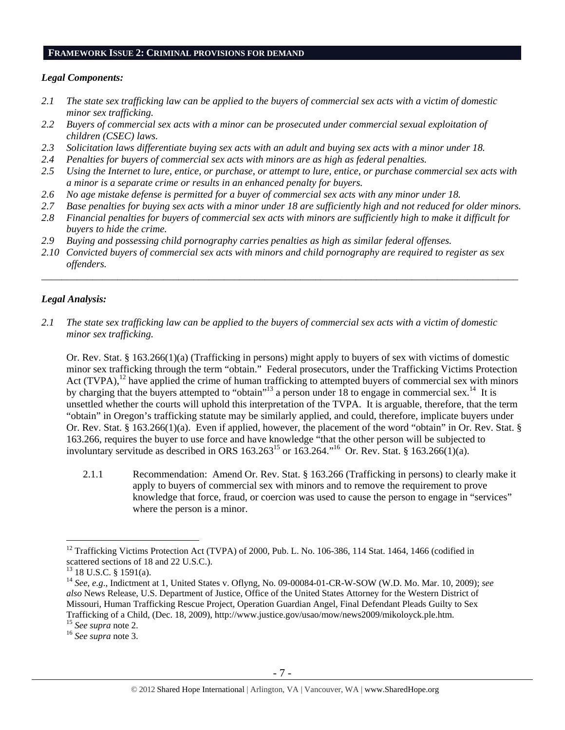#### **FRAMEWORK ISSUE 2: CRIMINAL PROVISIONS FOR DEMAND**

## *Legal Components:*

- *2.1 The state sex trafficking law can be applied to the buyers of commercial sex acts with a victim of domestic minor sex trafficking.*
- *2.2 Buyers of commercial sex acts with a minor can be prosecuted under commercial sexual exploitation of children (CSEC) laws.*
- *2.3 Solicitation laws differentiate buying sex acts with an adult and buying sex acts with a minor under 18.*
- *2.4 Penalties for buyers of commercial sex acts with minors are as high as federal penalties.*
- *2.5 Using the Internet to lure, entice, or purchase, or attempt to lure, entice, or purchase commercial sex acts with a minor is a separate crime or results in an enhanced penalty for buyers.*
- *2.6 No age mistake defense is permitted for a buyer of commercial sex acts with any minor under 18.*
- *2.7 Base penalties for buying sex acts with a minor under 18 are sufficiently high and not reduced for older minors.*
- *2.8 Financial penalties for buyers of commercial sex acts with minors are sufficiently high to make it difficult for buyers to hide the crime.*
- *2.9 Buying and possessing child pornography carries penalties as high as similar federal offenses.*
- *2.10 Convicted buyers of commercial sex acts with minors and child pornography are required to register as sex offenders.*

\_\_\_\_\_\_\_\_\_\_\_\_\_\_\_\_\_\_\_\_\_\_\_\_\_\_\_\_\_\_\_\_\_\_\_\_\_\_\_\_\_\_\_\_\_\_\_\_\_\_\_\_\_\_\_\_\_\_\_\_\_\_\_\_\_\_\_\_\_\_\_\_\_\_\_\_\_\_\_\_\_\_\_\_\_\_\_\_\_\_\_\_\_\_

# *Legal Analysis:*

*2.1 The state sex trafficking law can be applied to the buyers of commercial sex acts with a victim of domestic minor sex trafficking.* 

Or. Rev. Stat. § 163.266(1)(a) (Trafficking in persons) might apply to buyers of sex with victims of domestic minor sex trafficking through the term "obtain." Federal prosecutors, under the Trafficking Victims Protection Act  $(TVPA)$ ,<sup>12</sup> have applied the crime of human trafficking to attempted buyers of commercial sex with minors by charging that the buyers attempted to "obtain"<sup>13</sup> a person under 18 to engage in commercial sex.<sup>14</sup> It is unsettled whether the courts will uphold this interpretation of the TVPA. It is arguable, therefore, that the term "obtain" in Oregon's trafficking statute may be similarly applied, and could, therefore, implicate buyers under Or. Rev. Stat. § 163.266(1)(a). Even if applied, however, the placement of the word "obtain" in Or. Rev. Stat. § 163.266, requires the buyer to use force and have knowledge "that the other person will be subjected to involuntary servitude as described in ORS  $163.263^{15}$  or  $163.264.^{16}$  Or. Rev. Stat. §  $163.266(1)(a)$ .

2.1.1 Recommendation: Amend Or. Rev. Stat. § 163.266 (Trafficking in persons) to clearly make it apply to buyers of commercial sex with minors and to remove the requirement to prove knowledge that force, fraud, or coercion was used to cause the person to engage in "services" where the person is a minor.

 $\overline{a}$ 

<sup>&</sup>lt;sup>12</sup> Trafficking Victims Protection Act (TVPA) of 2000, Pub. L. No. 106-386, 114 Stat. 1464, 1466 (codified in scattered sections of 18 and 22 U.S.C.).

<sup>13 18</sup> U.S.C. § 1591(a).

<sup>14</sup> *See, e.g*., Indictment at 1, United States v. Oflyng, No. 09-00084-01-CR-W-SOW (W.D. Mo. Mar. 10, 2009); *see also* News Release, U.S. Department of Justice, Office of the United States Attorney for the Western District of Missouri, Human Trafficking Rescue Project, Operation Guardian Angel, Final Defendant Pleads Guilty to Sex Trafficking of a Child, (Dec. 18, 2009), http://www.justice.gov/usao/mow/news2009/mikoloyck.ple.htm. 15 *See supra* note 2. 16 *See supra* note 3.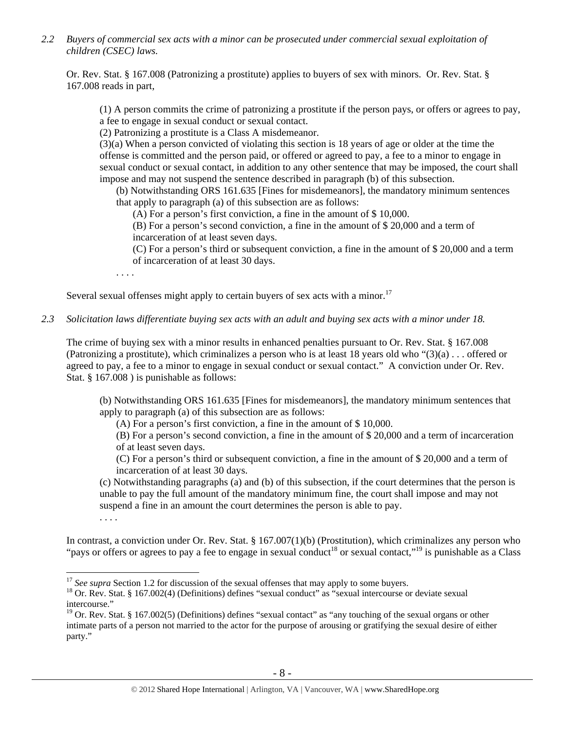*2.2 Buyers of commercial sex acts with a minor can be prosecuted under commercial sexual exploitation of children (CSEC) laws.* 

Or. Rev. Stat. § 167.008 (Patronizing a prostitute) applies to buyers of sex with minors. Or. Rev. Stat. § 167.008 reads in part,

(1) A person commits the crime of patronizing a prostitute if the person pays, or offers or agrees to pay, a fee to engage in sexual conduct or sexual contact.

(2) Patronizing a prostitute is a Class A misdemeanor.

(3)(a) When a person convicted of violating this section is 18 years of age or older at the time the offense is committed and the person paid, or offered or agreed to pay, a fee to a minor to engage in sexual conduct or sexual contact, in addition to any other sentence that may be imposed, the court shall impose and may not suspend the sentence described in paragraph (b) of this subsection.

(b) Notwithstanding ORS 161.635 [Fines for misdemeanors], the mandatory minimum sentences that apply to paragraph (a) of this subsection are as follows:

(A) For a person's first conviction, a fine in the amount of \$ 10,000.

(B) For a person's second conviction, a fine in the amount of \$ 20,000 and a term of incarceration of at least seven days.

(C) For a person's third or subsequent conviction, a fine in the amount of \$ 20,000 and a term of incarceration of at least 30 days.

. . . .

Several sexual offenses might apply to certain buyers of sex acts with a minor.<sup>17</sup>

#### *2.3 Solicitation laws differentiate buying sex acts with an adult and buying sex acts with a minor under 18.*

The crime of buying sex with a minor results in enhanced penalties pursuant to Or. Rev. Stat. § 167.008 (Patronizing a prostitute), which criminalizes a person who is at least 18 years old who "(3)(a) . . . offered or agreed to pay, a fee to a minor to engage in sexual conduct or sexual contact." A conviction under Or. Rev. Stat. § 167.008 ) is punishable as follows:

(b) Notwithstanding ORS 161.635 [Fines for misdemeanors], the mandatory minimum sentences that apply to paragraph (a) of this subsection are as follows:

(A) For a person's first conviction, a fine in the amount of \$ 10,000.

(B) For a person's second conviction, a fine in the amount of \$ 20,000 and a term of incarceration of at least seven days.

(C) For a person's third or subsequent conviction, a fine in the amount of \$ 20,000 and a term of incarceration of at least 30 days.

(c) Notwithstanding paragraphs (a) and (b) of this subsection, if the court determines that the person is unable to pay the full amount of the mandatory minimum fine, the court shall impose and may not suspend a fine in an amount the court determines the person is able to pay.

. . . .

 $\overline{a}$ 

In contrast, a conviction under Or. Rev. Stat. § 167.007(1)(b) (Prostitution), which criminalizes any person who "pays or offers or agrees to pay a fee to engage in sexual conduct<sup>18</sup> or sexual contact,"<sup>19</sup> is punishable as a Class

<sup>&</sup>lt;sup>17</sup> *See supra* Section 1.2 for discussion of the sexual offenses that may apply to some buyers.<br><sup>18</sup> Or. Rev. Stat. § 167.002(4) (Definitions) defines "sexual conduct" as "sexual intercourse or deviate sexual intercourse."

<sup>&</sup>lt;sup>19</sup> Or. Rev. Stat. § 167.002(5) (Definitions) defines "sexual contact" as "any touching of the sexual organs or other intimate parts of a person not married to the actor for the purpose of arousing or gratifying the sexual desire of either party."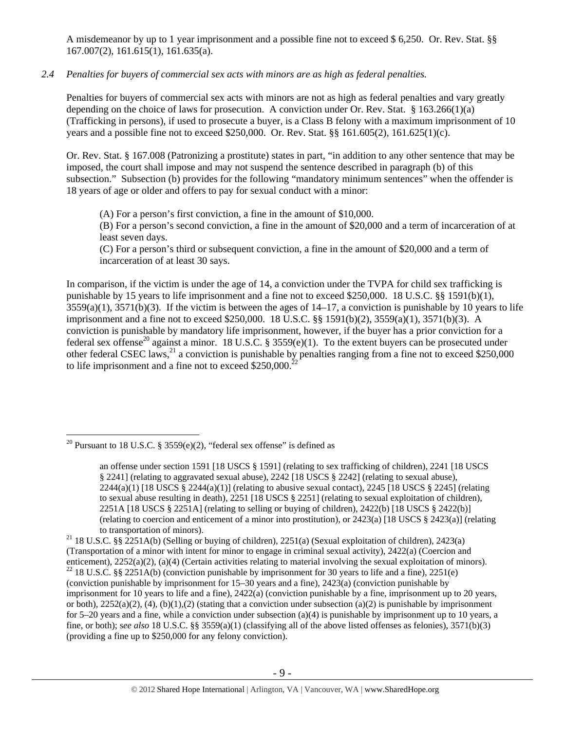A misdemeanor by up to 1 year imprisonment and a possible fine not to exceed \$ 6,250. Or. Rev. Stat. §§ 167.007(2), 161.615(1), 161.635(a).

# *2.4 Penalties for buyers of commercial sex acts with minors are as high as federal penalties.*

Penalties for buyers of commercial sex acts with minors are not as high as federal penalties and vary greatly depending on the choice of laws for prosecution. A conviction under Or. Rev. Stat. § 163.266(1)(a) (Trafficking in persons), if used to prosecute a buyer, is a Class B felony with a maximum imprisonment of 10 years and a possible fine not to exceed \$250,000. Or. Rev. Stat. §§ 161.605(2), 161.625(1)(c).

Or. Rev. Stat. § 167.008 (Patronizing a prostitute) states in part, "in addition to any other sentence that may be imposed, the court shall impose and may not suspend the sentence described in paragraph (b) of this subsection." Subsection (b) provides for the following "mandatory minimum sentences" when the offender is 18 years of age or older and offers to pay for sexual conduct with a minor:

(A) For a person's first conviction, a fine in the amount of \$10,000.

(B) For a person's second conviction, a fine in the amount of \$20,000 and a term of incarceration of at least seven days.

(C) For a person's third or subsequent conviction, a fine in the amount of \$20,000 and a term of incarceration of at least 30 says.

In comparison, if the victim is under the age of 14, a conviction under the TVPA for child sex trafficking is punishable by 15 years to life imprisonment and a fine not to exceed \$250,000. 18 U.S.C. §§ 1591(b)(1),  $3559(a)(1)$ ,  $3571(b)(3)$ . If the victim is between the ages of  $14-17$ , a conviction is punishable by 10 years to life imprisonment and a fine not to exceed \$250,000. 18 U.S.C. §§ 1591(b)(2), 3559(a)(1), 3571(b)(3). A conviction is punishable by mandatory life imprisonment, however, if the buyer has a prior conviction for a federal sex offense<sup>20</sup> against a minor. 18 U.S.C. § 3559(e)(1). To the extent buyers can be prosecuted under other federal CSEC laws,  $^{21}$  a conviction is punishable by penalties ranging from a fine not to exceed \$250,000 to life imprisonment and a fine not to exceed  $$250,000.<sup>2</sup>$ 

 $\overline{a}$ <sup>20</sup> Pursuant to 18 U.S.C. § 3559(e)(2), "federal sex offense" is defined as

an offense under section 1591 [18 USCS § 1591] (relating to sex trafficking of children), 2241 [18 USCS § 2241] (relating to aggravated sexual abuse), 2242 [18 USCS § 2242] (relating to sexual abuse),  $2244(a)(1)$  [18 USCS §  $2244(a)(1)$ ] (relating to abusive sexual contact),  $2245$  [18 USCS § 2245] (relating to sexual abuse resulting in death), 2251 [18 USCS § 2251] (relating to sexual exploitation of children), 2251A [18 USCS § 2251A] (relating to selling or buying of children), 2422(b) [18 USCS § 2422(b)] (relating to coercion and enticement of a minor into prostitution), or 2423(a) [18 USCS § 2423(a)] (relating

to transportation of minors).<br><sup>21</sup> 18 U.S.C. §§ 2251A(b) (Selling or buying of children), 2251(a) (Sexual exploitation of children), 2423(a) (Transportation of a minor with intent for minor to engage in criminal sexual activity), 2422(a) (Coercion and enticement), 2252(a)(2), (a)(4) (Certain activities relating to material involving the sexual exploitation of minors). <sup>22</sup> 18 U.S.C. §§ 2251A(b) (conviction punishable by imprisonment for 30 years to life and a fine), 22 (conviction punishable by imprisonment for 15–30 years and a fine), 2423(a) (conviction punishable by imprisonment for 10 years to life and a fine), 2422(a) (conviction punishable by a fine, imprisonment up to 20 years, or both),  $2252(a)(2)$ , (4), (b)(1),(2) (stating that a conviction under subsection (a)(2) is punishable by imprisonment for 5–20 years and a fine, while a conviction under subsection (a)(4) is punishable by imprisonment up to 10 years, a fine, or both); s*ee also* 18 U.S.C. §§ 3559(a)(1) (classifying all of the above listed offenses as felonies), 3571(b)(3) (providing a fine up to \$250,000 for any felony conviction).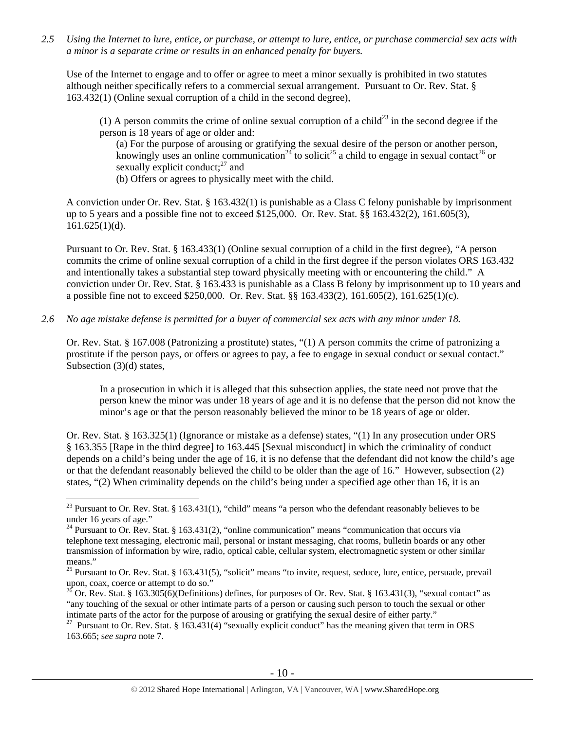*2.5 Using the Internet to lure, entice, or purchase, or attempt to lure, entice, or purchase commercial sex acts with a minor is a separate crime or results in an enhanced penalty for buyers.* 

Use of the Internet to engage and to offer or agree to meet a minor sexually is prohibited in two statutes although neither specifically refers to a commercial sexual arrangement. Pursuant to Or. Rev. Stat. § 163.432(1) (Online sexual corruption of a child in the second degree),

(1) A person commits the crime of online sexual corruption of a child<sup>23</sup> in the second degree if the person is 18 years of age or older and:

(a) For the purpose of arousing or gratifying the sexual desire of the person or another person, knowingly uses an online communication<sup>24</sup> to solicit<sup>25</sup> a child to engage in sexual contact<sup>26</sup> or sexually explicit conduct; $^{27}$  and

(b) Offers or agrees to physically meet with the child.

A conviction under Or. Rev. Stat. § 163.432(1) is punishable as a Class C felony punishable by imprisonment up to 5 years and a possible fine not to exceed \$125,000. Or. Rev. Stat. §§ 163.432(2), 161.605(3),  $161.625(1)(d)$ .

Pursuant to Or. Rev. Stat. § 163.433(1) (Online sexual corruption of a child in the first degree), "A person commits the crime of online sexual corruption of a child in the first degree if the person violates ORS 163.432 and intentionally takes a substantial step toward physically meeting with or encountering the child." A conviction under Or. Rev. Stat. § 163.433 is punishable as a Class B felony by imprisonment up to 10 years and a possible fine not to exceed \$250,000. Or. Rev. Stat. §§ 163.433(2), 161.605(2), 161.625(1)(c).

*2.6 No age mistake defense is permitted for a buyer of commercial sex acts with any minor under 18.* 

Or. Rev. Stat. § 167.008 (Patronizing a prostitute) states, "(1) A person commits the crime of patronizing a prostitute if the person pays, or offers or agrees to pay, a fee to engage in sexual conduct or sexual contact." Subsection (3)(d) states,

In a prosecution in which it is alleged that this subsection applies, the state need not prove that the person knew the minor was under 18 years of age and it is no defense that the person did not know the minor's age or that the person reasonably believed the minor to be 18 years of age or older.

Or. Rev. Stat. § 163.325(1) (Ignorance or mistake as a defense) states, "(1) In any prosecution under ORS § 163.355 [Rape in the third degree] to 163.445 [Sexual misconduct] in which the criminality of conduct depends on a child's being under the age of 16, it is no defense that the defendant did not know the child's age or that the defendant reasonably believed the child to be older than the age of 16." However, subsection (2) states, "(2) When criminality depends on the child's being under a specified age other than 16, it is an

 $\overline{a}$ 

<sup>&</sup>lt;sup>23</sup> Pursuant to Or. Rev. Stat. § 163.431(1), "child" means "a person who the defendant reasonably believes to be under 16 years of age."

<sup>&</sup>lt;sup>24</sup> Pursuant to Or. Rev. Stat. § 163.431(2), "online communication" means "communication that occurs via telephone text messaging, electronic mail, personal or instant messaging, chat rooms, bulletin boards or any other transmission of information by wire, radio, optical cable, cellular system, electromagnetic system or other similar means."

 $25$  Pursuant to Or. Rev. Stat. § 163.431(5), "solicit" means "to invite, request, seduce, lure, entice, persuade, prevail upon, coax, coerce or attempt to do so."

<sup>&</sup>lt;sup>26</sup> Or. Rev. Stat. § 163.305(6)(Definitions) defines, for purposes of Or. Rev. Stat. § 163.431(3), "sexual contact" as "any touching of the sexual or other intimate parts of a person or causing such person to touch the sexual or other intimate parts of the actor for the purpose of arousing or gratifying the sexual desire of either party."

<sup>&</sup>lt;sup>27</sup> Pursuant to Or. Rev. Stat. § 163.431(4) "sexually explicit conduct" has the meaning given that term in ORS 163.665; s*ee supra* note 7.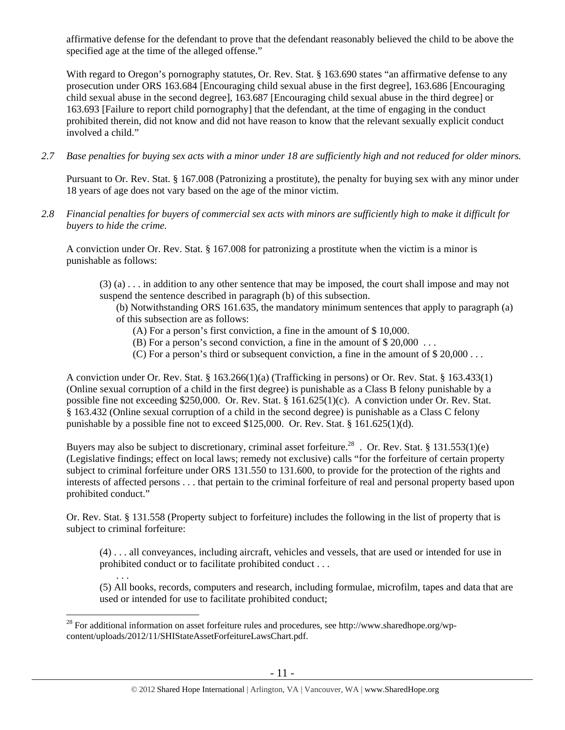affirmative defense for the defendant to prove that the defendant reasonably believed the child to be above the specified age at the time of the alleged offense."

With regard to Oregon's pornography statutes, Or. Rev. Stat. § 163.690 states "an affirmative defense to any prosecution under ORS 163.684 [Encouraging child sexual abuse in the first degree], 163.686 [Encouraging child sexual abuse in the second degree], 163.687 [Encouraging child sexual abuse in the third degree] or 163.693 [Failure to report child pornography] that the defendant, at the time of engaging in the conduct prohibited therein, did not know and did not have reason to know that the relevant sexually explicit conduct involved a child."

*2.7 Base penalties for buying sex acts with a minor under 18 are sufficiently high and not reduced for older minors.* 

Pursuant to Or. Rev. Stat. § 167.008 (Patronizing a prostitute), the penalty for buying sex with any minor under 18 years of age does not vary based on the age of the minor victim.

*2.8 Financial penalties for buyers of commercial sex acts with minors are sufficiently high to make it difficult for buyers to hide the crime.* 

A conviction under Or. Rev. Stat. § 167.008 for patronizing a prostitute when the victim is a minor is punishable as follows:

(3) (a) . . . in addition to any other sentence that may be imposed, the court shall impose and may not suspend the sentence described in paragraph (b) of this subsection.

(b) Notwithstanding ORS 161.635, the mandatory minimum sentences that apply to paragraph (a) of this subsection are as follows:

- (A) For a person's first conviction, a fine in the amount of \$ 10,000.
- (B) For a person's second conviction, a fine in the amount of \$ 20,000 . . .
- (C) For a person's third or subsequent conviction, a fine in the amount of \$ 20,000 . . .

A conviction under Or. Rev. Stat. § 163.266(1)(a) (Trafficking in persons) or Or. Rev. Stat. § 163.433(1) (Online sexual corruption of a child in the first degree) is punishable as a Class B felony punishable by a possible fine not exceeding \$250,000. Or. Rev. Stat. § 161.625(1)(c). A conviction under Or. Rev. Stat. § 163.432 (Online sexual corruption of a child in the second degree) is punishable as a Class C felony punishable by a possible fine not to exceed  $$125,000$ . Or. Rev. Stat.  $§$  161.625(1)(d).

Buyers may also be subject to discretionary, criminal asset forfeiture.<sup>28</sup> . Or. Rev. Stat. § 131.553(1)(e) (Legislative findings; effect on local laws; remedy not exclusive) calls "for the forfeiture of certain property subject to criminal forfeiture under ORS 131.550 to 131.600, to provide for the protection of the rights and interests of affected persons . . . that pertain to the criminal forfeiture of real and personal property based upon prohibited conduct."

Or. Rev. Stat. § 131.558 (Property subject to forfeiture) includes the following in the list of property that is subject to criminal forfeiture:

(4) . . . all conveyances, including aircraft, vehicles and vessels, that are used or intended for use in prohibited conduct or to facilitate prohibited conduct . . .

. . . (5) All books, records, computers and research, including formulae, microfilm, tapes and data that are used or intended for use to facilitate prohibited conduct;

 $\overline{a}$  $^{28}$  For additional information on asset forfeiture rules and procedures, see http://www.sharedhope.org/wpcontent/uploads/2012/11/SHIStateAssetForfeitureLawsChart.pdf.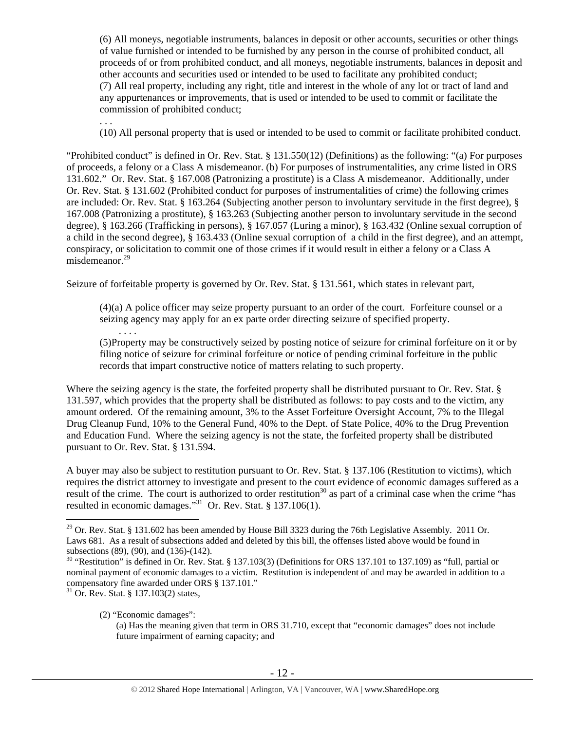(6) All moneys, negotiable instruments, balances in deposit or other accounts, securities or other things of value furnished or intended to be furnished by any person in the course of prohibited conduct, all proceeds of or from prohibited conduct, and all moneys, negotiable instruments, balances in deposit and other accounts and securities used or intended to be used to facilitate any prohibited conduct; (7) All real property, including any right, title and interest in the whole of any lot or tract of land and any appurtenances or improvements, that is used or intended to be used to commit or facilitate the commission of prohibited conduct;

(10) All personal property that is used or intended to be used to commit or facilitate prohibited conduct.

"Prohibited conduct" is defined in Or. Rev. Stat. § 131.550(12) (Definitions) as the following: "(a) For purposes of proceeds, a felony or a Class A misdemeanor. (b) For purposes of instrumentalities, any crime listed in ORS 131.602." Or. Rev. Stat. § 167.008 (Patronizing a prostitute) is a Class A misdemeanor. Additionally, under Or. Rev. Stat. § 131.602 (Prohibited conduct for purposes of instrumentalities of crime) the following crimes are included: Or. Rev. Stat. § 163.264 (Subjecting another person to involuntary servitude in the first degree), § 167.008 (Patronizing a prostitute), § 163.263 (Subjecting another person to involuntary servitude in the second degree), § 163.266 (Trafficking in persons), § 167.057 (Luring a minor), § 163.432 (Online sexual corruption of a child in the second degree), § 163.433 (Online sexual corruption of a child in the first degree), and an attempt, conspiracy, or solicitation to commit one of those crimes if it would result in either a felony or a Class A misdemeanor.<sup>29</sup>

Seizure of forfeitable property is governed by Or. Rev. Stat. § 131.561, which states in relevant part,

(4)(a) A police officer may seize property pursuant to an order of the court. Forfeiture counsel or a seizing agency may apply for an ex parte order directing seizure of specified property.

(5)Property may be constructively seized by posting notice of seizure for criminal forfeiture on it or by filing notice of seizure for criminal forfeiture or notice of pending criminal forfeiture in the public records that impart constructive notice of matters relating to such property.

Where the seizing agency is the state, the forfeited property shall be distributed pursuant to Or. Rev. Stat. § 131.597, which provides that the property shall be distributed as follows: to pay costs and to the victim, any amount ordered. Of the remaining amount, 3% to the Asset Forfeiture Oversight Account, 7% to the Illegal Drug Cleanup Fund, 10% to the General Fund, 40% to the Dept. of State Police, 40% to the Drug Prevention and Education Fund. Where the seizing agency is not the state, the forfeited property shall be distributed pursuant to Or. Rev. Stat. § 131.594.

A buyer may also be subject to restitution pursuant to Or. Rev. Stat. § 137.106 (Restitution to victims), which requires the district attorney to investigate and present to the court evidence of economic damages suffered as a result of the crime. The court is authorized to order restitution<sup>30</sup> as part of a criminal case when the crime "has resulted in economic damages."<sup>31</sup> Or. Rev. Stat. § 137.106(1).

 $\overline{a}$ 

. . . .

. . .

<sup>&</sup>lt;sup>29</sup> Or. Rev. Stat. § 131.602 has been amended by House Bill 3323 during the 76th Legislative Assembly. 2011 Or. Laws 681. As a result of subsections added and deleted by this bill, the offenses listed above would be found in subsections (89), (90), and (136)-(142).

<sup>&</sup>lt;sup>30</sup> "Restitution" is defined in Or. Rev. Stat. § 137.103(3) (Definitions for ORS 137.101 to 137.109) as "full, partial or nominal payment of economic damages to a victim. Restitution is independent of and may be awarded in addition to a compensatory fine awarded under ORS § 137.101."

<sup>31</sup> Or. Rev. Stat. § 137.103(2) states,

<sup>(2) &</sup>quot;Economic damages":

<sup>(</sup>a) Has the meaning given that term in ORS 31.710, except that "economic damages" does not include future impairment of earning capacity; and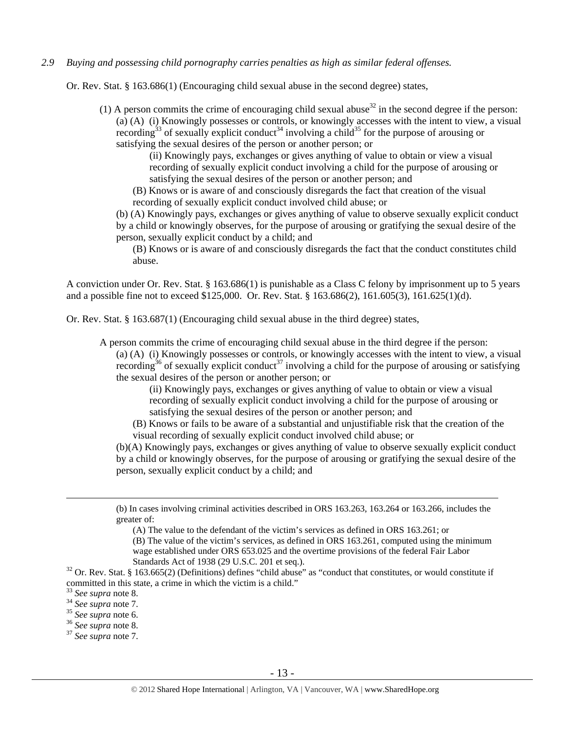## *2.9 Buying and possessing child pornography carries penalties as high as similar federal offenses.*

Or. Rev. Stat. § 163.686(1) (Encouraging child sexual abuse in the second degree) states,

(1) A person commits the crime of encouraging child sexual abuse<sup>32</sup> in the second degree if the person: (a) (A) (i) Knowingly possesses or controls, or knowingly accesses with the intent to view, a visual recording<sup>33</sup> of sexually explicit conduct<sup>34</sup> involving a child<sup>35</sup> for the purpose of arousing or satisfying the sexual desires of the person or another person; or

> (ii) Knowingly pays, exchanges or gives anything of value to obtain or view a visual recording of sexually explicit conduct involving a child for the purpose of arousing or satisfying the sexual desires of the person or another person; and

(B) Knows or is aware of and consciously disregards the fact that creation of the visual recording of sexually explicit conduct involved child abuse; or

(b) (A) Knowingly pays, exchanges or gives anything of value to observe sexually explicit conduct by a child or knowingly observes, for the purpose of arousing or gratifying the sexual desire of the person, sexually explicit conduct by a child; and

(B) Knows or is aware of and consciously disregards the fact that the conduct constitutes child abuse.

A conviction under Or. Rev. Stat. § 163.686(1) is punishable as a Class C felony by imprisonment up to 5 years and a possible fine not to exceed \$125,000. Or. Rev. Stat. § 163.686(2), 161.605(3), 161.625(1)(d).

Or. Rev. Stat. § 163.687(1) (Encouraging child sexual abuse in the third degree) states,

A person commits the crime of encouraging child sexual abuse in the third degree if the person:

(a) (A) (i) Knowingly possesses or controls, or knowingly accesses with the intent to view, a visual recording<sup>36</sup> of sexually explicit conduct<sup>37</sup> involving a child for the purpose of arousing or satisfying the sexual desires of the person or another person; or

(ii) Knowingly pays, exchanges or gives anything of value to obtain or view a visual recording of sexually explicit conduct involving a child for the purpose of arousing or satisfying the sexual desires of the person or another person; and

(B) Knows or fails to be aware of a substantial and unjustifiable risk that the creation of the visual recording of sexually explicit conduct involved child abuse; or

(b)(A) Knowingly pays, exchanges or gives anything of value to observe sexually explicit conduct by a child or knowingly observes, for the purpose of arousing or gratifying the sexual desire of the person, sexually explicit conduct by a child; and

 (b) In cases involving criminal activities described in ORS 163.263, 163.264 or 163.266, includes the greater of:

(A) The value to the defendant of the victim's services as defined in ORS 163.261; or

(B) The value of the victim's services, as defined in ORS 163.261, computed using the minimum wage established under ORS 653.025 and the overtime provisions of the federal Fair Labor

Standards Act of 1938 (29 U.S.C. 201 et seq.).<br><sup>32</sup> Or. Rev. Stat. § 163.665(2) (Definitions) defines "child abuse" as "conduct that constitutes, or would constitute if committed in this state, a crime in which the victim is a child."  $33$  See supra note 8.

<sup>33</sup> *See supra* note 8. 34 *See supra* note 7. 35 *See supra* note 6. 36 *See supra* note 8. 37 *See supra* note 7.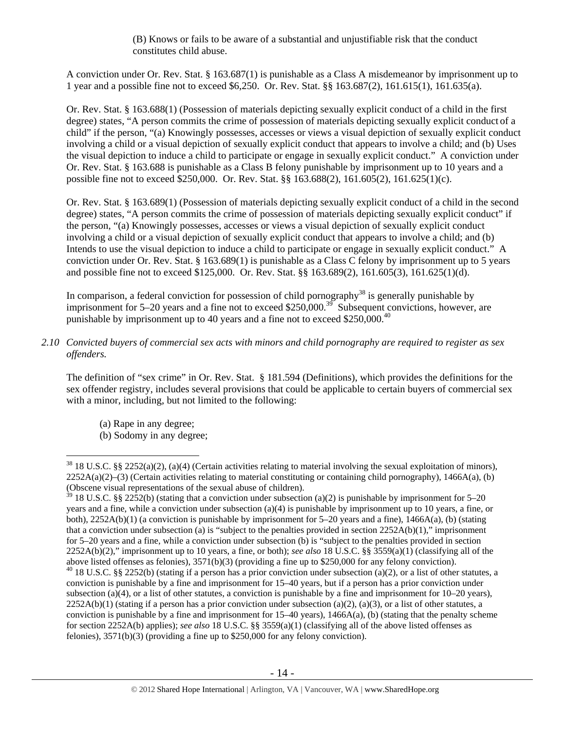(B) Knows or fails to be aware of a substantial and unjustifiable risk that the conduct constitutes child abuse.

A conviction under Or. Rev. Stat. § 163.687(1) is punishable as a Class A misdemeanor by imprisonment up to 1 year and a possible fine not to exceed \$6,250. Or. Rev. Stat. §§ 163.687(2), 161.615(1), 161.635(a).

Or. Rev. Stat. § 163.688(1) (Possession of materials depicting sexually explicit conduct of a child in the first degree) states, "A person commits the crime of possession of materials depicting sexually explicit conduct of a child" if the person, "(a) Knowingly possesses, accesses or views a visual depiction of sexually explicit conduct involving a child or a visual depiction of sexually explicit conduct that appears to involve a child; and (b) Uses the visual depiction to induce a child to participate or engage in sexually explicit conduct." A conviction under Or. Rev. Stat. § 163.688 is punishable as a Class B felony punishable by imprisonment up to 10 years and a possible fine not to exceed \$250,000. Or. Rev. Stat. §§ 163.688(2), 161.605(2), 161.625(1)(c).

Or. Rev. Stat. § 163.689(1) (Possession of materials depicting sexually explicit conduct of a child in the second degree) states, "A person commits the crime of possession of materials depicting sexually explicit conduct" if the person, "(a) Knowingly possesses, accesses or views a visual depiction of sexually explicit conduct involving a child or a visual depiction of sexually explicit conduct that appears to involve a child; and (b) Intends to use the visual depiction to induce a child to participate or engage in sexually explicit conduct." A conviction under Or. Rev. Stat. § 163.689(1) is punishable as a Class C felony by imprisonment up to 5 years and possible fine not to exceed \$125,000. Or. Rev. Stat. §§ 163.689(2), 161.605(3), 161.625(1)(d).

In comparison, a federal conviction for possession of child pornography<sup>38</sup> is generally punishable by imprisonment for 5–20 years and a fine not to exceed \$250,000.<sup>39</sup> Subsequent convictions, however, are punishable by imprisonment up to 40 years and a fine not to exceed \$250,000.<sup>40</sup>

*2.10 Convicted buyers of commercial sex acts with minors and child pornography are required to register as sex offenders.* 

The definition of "sex crime" in Or. Rev. Stat. § 181.594 (Definitions), which provides the definitions for the sex offender registry, includes several provisions that could be applicable to certain buyers of commercial sex with a minor, including, but not limited to the following:

- (a) Rape in any degree;
- (b) Sodomy in any degree;

 $\overline{a}$  $38\,18\,$  U.S.C. §§ 2252(a)(2), (a)(4) (Certain activities relating to material involving the sexual exploitation of minors),  $2252A(a)(2)$ –(3) (Certain activities relating to material constituting or containing child pornography), 1466A(a), (b) (Obscene visual representations of the sexual abuse of children).

<sup>&</sup>lt;sup>39</sup> 18 U.S.C. §§ 2252(b) (stating that a conviction under subsection (a)(2) is punishable by imprisonment for 5–20 years and a fine, while a conviction under subsection (a)(4) is punishable by imprisonment up to 10 years, a fine, or both), 2252A(b)(1) (a conviction is punishable by imprisonment for 5–20 years and a fine), 1466A(a), (b) (stating that a conviction under subsection (a) is "subject to the penalties provided in section  $2252A(b)(1)$ ," imprisonment for 5–20 years and a fine, while a conviction under subsection (b) is "subject to the penalties provided in section 2252A(b)(2)," imprisonment up to 10 years, a fine, or both); *see also* 18 U.S.C. §§ 3559(a)(1) (classifying all of the above listed offenses as felonies), 3571(b)(3) (providing a fine up to \$250,000 for any felony conviction).  $40\,18$  U.S.C. §§ 2252(b) (stating if a person has a prior conviction under subsection (a)(2), or a list of other statutes, a conviction is punishable by a fine and imprisonment for 15–40 years, but if a person has a prior conviction under subsection (a)(4), or a list of other statutes, a conviction is punishable by a fine and imprisonment for  $10-20$  years),  $2252A(b)(1)$  (stating if a person has a prior conviction under subsection (a)(2), (a)(3), or a list of other statutes, a conviction is punishable by a fine and imprisonment for  $15-40$  years),  $1466A(a)$ , (b) (stating that the penalty scheme for section 2252A(b) applies); *see also* 18 U.S.C. §§ 3559(a)(1) (classifying all of the above listed offenses as felonies), 3571(b)(3) (providing a fine up to \$250,000 for any felony conviction).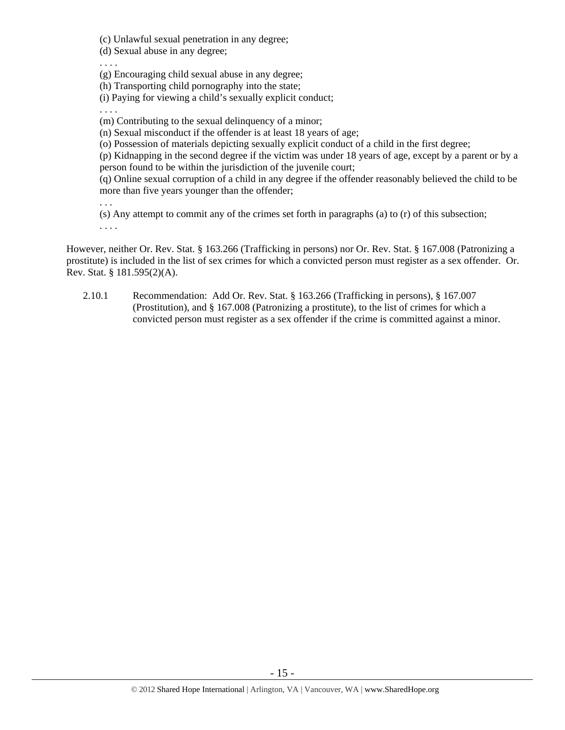(c) Unlawful sexual penetration in any degree;

(d) Sexual abuse in any degree;

. . . .

(g) Encouraging child sexual abuse in any degree;

(h) Transporting child pornography into the state;

(i) Paying for viewing a child's sexually explicit conduct;

. . . .

(m) Contributing to the sexual delinquency of a minor;

(n) Sexual misconduct if the offender is at least 18 years of age;

(o) Possession of materials depicting sexually explicit conduct of a child in the first degree;

(p) Kidnapping in the second degree if the victim was under 18 years of age, except by a parent or by a person found to be within the jurisdiction of the juvenile court;

(q) Online sexual corruption of a child in any degree if the offender reasonably believed the child to be more than five years younger than the offender;

. . .

(s) Any attempt to commit any of the crimes set forth in paragraphs (a) to (r) of this subsection; . . . .

However, neither Or. Rev. Stat. § 163.266 (Trafficking in persons) nor Or. Rev. Stat. § 167.008 (Patronizing a prostitute) is included in the list of sex crimes for which a convicted person must register as a sex offender. Or. Rev. Stat. § 181.595(2)(A).

2.10.1 Recommendation: Add Or. Rev. Stat. § 163.266 (Trafficking in persons), § 167.007 (Prostitution), and § 167.008 (Patronizing a prostitute), to the list of crimes for which a convicted person must register as a sex offender if the crime is committed against a minor.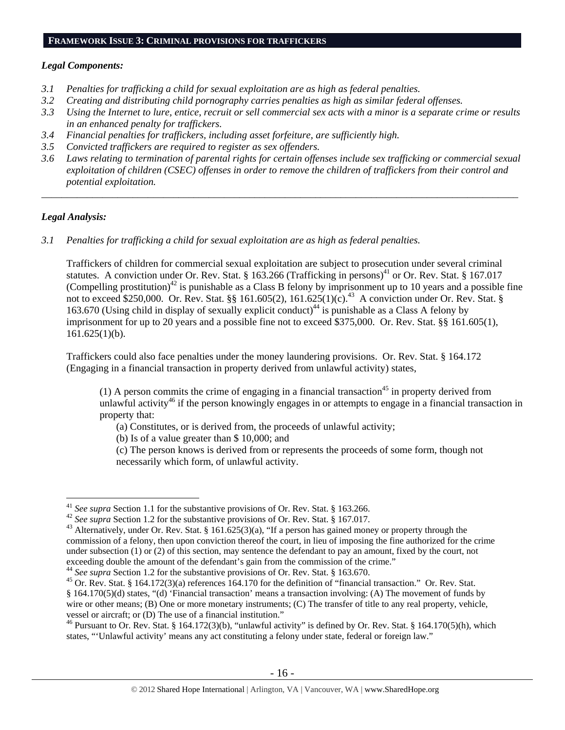# **FRAMEWORK ISSUE 3: CRIMINAL PROVISIONS FOR TRAFFICKERS**

## *Legal Components:*

- *3.1 Penalties for trafficking a child for sexual exploitation are as high as federal penalties.*
- *3.2 Creating and distributing child pornography carries penalties as high as similar federal offenses.*
- *3.3 Using the Internet to lure, entice, recruit or sell commercial sex acts with a minor is a separate crime or results in an enhanced penalty for traffickers.*
- *3.4 Financial penalties for traffickers, including asset forfeiture, are sufficiently high.*
- *3.5 Convicted traffickers are required to register as sex offenders.*
- *3.6 Laws relating to termination of parental rights for certain offenses include sex trafficking or commercial sexual exploitation of children (CSEC) offenses in order to remove the children of traffickers from their control and potential exploitation.*

*\_\_\_\_\_\_\_\_\_\_\_\_\_\_\_\_\_\_\_\_\_\_\_\_\_\_\_\_\_\_\_\_\_\_\_\_\_\_\_\_\_\_\_\_\_\_\_\_\_\_\_\_\_\_\_\_\_\_\_\_\_\_\_\_\_\_\_\_\_\_\_\_\_\_\_\_\_\_\_\_\_\_\_\_\_\_\_\_\_\_\_\_\_\_* 

## *Legal Analysis:*

*3.1 Penalties for trafficking a child for sexual exploitation are as high as federal penalties.* 

Traffickers of children for commercial sexual exploitation are subject to prosecution under several criminal statutes. A conviction under Or. Rev. Stat. § 163.266 (Trafficking in persons)<sup>41</sup> or Or. Rev. Stat. § 167.017 (Compelling prostitution)<sup>42</sup> is punishable as a Class B felony by imprisonment up to 10 years and a possible fine not to exceed \$250,000. Or. Rev. Stat. §§ 161.605(2), 161.625(1)(c).<sup>43</sup> A conviction under Or. Rev. Stat. § 163.670 (Using child in display of sexually explicit conduct)<sup>44</sup> is punishable as a Class A felony by imprisonment for up to 20 years and a possible fine not to exceed \$375,000. Or. Rev. Stat. §§ 161.605(1),  $161.625(1)(b)$ .

Traffickers could also face penalties under the money laundering provisions. Or. Rev. Stat. § 164.172 (Engaging in a financial transaction in property derived from unlawful activity) states,

(1) A person commits the crime of engaging in a financial transaction<sup>45</sup> in property derived from unlawful activity<sup>46</sup> if the person knowingly engages in or attempts to engage in a financial transaction in property that:

(a) Constitutes, or is derived from, the proceeds of unlawful activity;

(b) Is of a value greater than \$ 10,000; and

(c) The person knows is derived from or represents the proceeds of some form, though not necessarily which form, of unlawful activity.

<sup>&</sup>lt;sup>41</sup> See supra Section 1.1 for the substantive provisions of Or. Rev. Stat. § 163.266.

<sup>&</sup>lt;sup>42</sup> See supra Section 1.2 for the substantive provisions of Or. Rev. Stat. § 167.017.<br><sup>43</sup> Alternatively, under Or. Rev. Stat. § 161.625(3)(a), "If a person has gained money or property through the commission of a felony, then upon conviction thereof the court, in lieu of imposing the fine authorized for the crime under subsection (1) or (2) of this section, may sentence the defendant to pay an amount, fixed by the court, not exceeding double the amount of the defendant's gain from the commission of the crime."<br><sup>44</sup> See supra Section 1.2 for the substantive provisions of Or. Rev. Stat. § 163.670.<br><sup>45</sup> Or. Rev. Stat. § 164.172(3)(a) references 1

<sup>§ 164.170(5)(</sup>d) states, "(d) 'Financial transaction' means a transaction involving: (A) The movement of funds by wire or other means; (B) One or more monetary instruments; (C) The transfer of title to any real property, vehicle, vessel or aircraft; or (D) The use of a financial institution."

<sup>&</sup>lt;sup>46</sup> Pursuant to Or. Rev. Stat. § 164.172(3)(b), "unlawful activity" is defined by Or. Rev. Stat. § 164.170(5)(h), which states, "'Unlawful activity' means any act constituting a felony under state, federal or foreign law."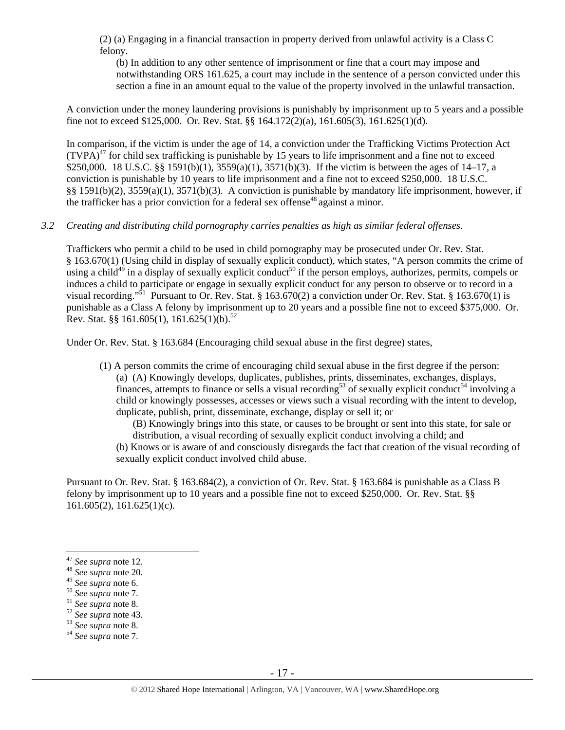(2) (a) Engaging in a financial transaction in property derived from unlawful activity is a Class C felony.

(b) In addition to any other sentence of imprisonment or fine that a court may impose and notwithstanding ORS 161.625, a court may include in the sentence of a person convicted under this section a fine in an amount equal to the value of the property involved in the unlawful transaction.

A conviction under the money laundering provisions is punishably by imprisonment up to 5 years and a possible fine not to exceed \$125,000. Or. Rev. Stat. §§ 164.172(2)(a), 161.605(3), 161.625(1)(d).

In comparison, if the victim is under the age of 14, a conviction under the Trafficking Victims Protection Act  $(TVPA)<sup>47</sup>$  for child sex trafficking is punishable by 15 years to life imprisonment and a fine not to exceed \$250,000. 18 U.S.C. §§ 1591(b)(1), 3559(a)(1), 3571(b)(3). If the victim is between the ages of 14–17, a conviction is punishable by 10 years to life imprisonment and a fine not to exceed \$250,000. 18 U.S.C. §§ 1591(b)(2), 3559(a)(1), 3571(b)(3). A conviction is punishable by mandatory life imprisonment, however, if the trafficker has a prior conviction for a federal sex offense<sup>48</sup> against a minor.

## *3.2 Creating and distributing child pornography carries penalties as high as similar federal offenses.*

Traffickers who permit a child to be used in child pornography may be prosecuted under Or. Rev. Stat. § 163.670(1) (Using child in display of sexually explicit conduct), which states, "A person commits the crime of using a child<sup>49</sup> in a display of sexually explicit conduct<sup>50</sup> if the person employs, authorizes, permits, compels or induces a child to participate or engage in sexually explicit conduct for any person to observe or to record in a visual recording."51 Pursuant to Or. Rev. Stat. § 163.670(2) a conviction under Or. Rev. Stat. § 163.670(1) is punishable as a Class A felony by imprisonment up to 20 years and a possible fine not to exceed \$375,000. Or. Rev. Stat. §§ 161.605(1), 161.625(1)(b).<sup>52</sup>

Under Or. Rev. Stat. § 163.684 (Encouraging child sexual abuse in the first degree) states,

(1) A person commits the crime of encouraging child sexual abuse in the first degree if the person: (a) (A) Knowingly develops, duplicates, publishes, prints, disseminates, exchanges, displays, finances, attempts to finance or sells a visual recording<sup>53</sup> of sexually explicit conduct<sup>54</sup> involving a child or knowingly possesses, accesses or views such a visual recording with the intent to develop, duplicate, publish, print, disseminate, exchange, display or sell it; or

(B) Knowingly brings into this state, or causes to be brought or sent into this state, for sale or distribution, a visual recording of sexually explicit conduct involving a child; and

(b) Knows or is aware of and consciously disregards the fact that creation of the visual recording of sexually explicit conduct involved child abuse.

Pursuant to Or. Rev. Stat. § 163.684(2), a conviction of Or. Rev. Stat. § 163.684 is punishable as a Class B felony by imprisonment up to 10 years and a possible fine not to exceed \$250,000. Or. Rev. Stat. §§  $161.605(2)$ ,  $161.625(1)(c)$ .

 $\overline{a}$ 

<sup>49</sup> *See supra* note 6. 50 *See supra* note 7. 51 *See supra* note 8. 52 *See supra* note 43. 53 *See supra* note 8. 54 *See supra* note 7.

<sup>47</sup> *See supra* note 12. 48 *See supra* note 20.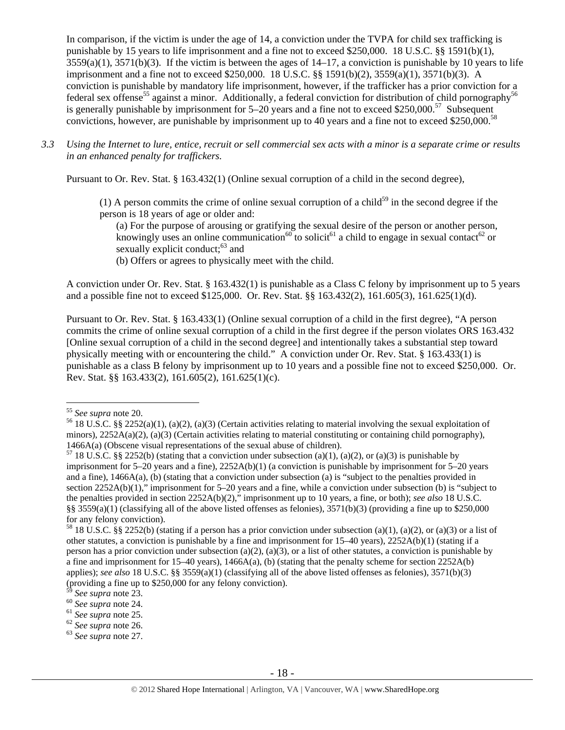In comparison, if the victim is under the age of 14, a conviction under the TVPA for child sex trafficking is punishable by 15 years to life imprisonment and a fine not to exceed \$250,000. 18 U.S.C. §§ 1591(b)(1),  $3559(a)(1)$ ,  $3571(b)(3)$ . If the victim is between the ages of  $14-17$ , a conviction is punishable by 10 years to life imprisonment and a fine not to exceed \$250,000. 18 U.S.C. §§ 1591(b)(2), 3559(a)(1), 3571(b)(3). A conviction is punishable by mandatory life imprisonment, however, if the trafficker has a prior conviction for a federal sex offense<sup>55</sup> against a minor. Additionally, a federal conviction for distribution of child pornography<sup>56</sup> is generally punishable by imprisonment for  $5-20$  years and a fine not to exceed \$250,000.<sup>57</sup> Subsequent convictions, however, are punishable by imprisonment up to 40 years and a fine not to exceed \$250,000.<sup>58</sup>

*3.3 Using the Internet to lure, entice, recruit or sell commercial sex acts with a minor is a separate crime or results in an enhanced penalty for traffickers.* 

Pursuant to Or. Rev. Stat. § 163.432(1) (Online sexual corruption of a child in the second degree),

(1) A person commits the crime of online sexual corruption of a child<sup>59</sup> in the second degree if the person is 18 years of age or older and:

(a) For the purpose of arousing or gratifying the sexual desire of the person or another person, knowingly uses an online communication<sup>60</sup> to solicit<sup>61</sup> a child to engage in sexual contact<sup>62</sup> or sexually explicit conduct; $^{63}$  and

(b) Offers or agrees to physically meet with the child.

A conviction under Or. Rev. Stat. § 163.432(1) is punishable as a Class C felony by imprisonment up to 5 years and a possible fine not to exceed \$125,000. Or. Rev. Stat. §§ 163.432(2), 161.605(3), 161.625(1)(d).

Pursuant to Or. Rev. Stat. § 163.433(1) (Online sexual corruption of a child in the first degree), "A person commits the crime of online sexual corruption of a child in the first degree if the person violates ORS 163.432 [Online sexual corruption of a child in the second degree] and intentionally takes a substantial step toward physically meeting with or encountering the child." A conviction under Or. Rev. Stat. § 163.433(1) is punishable as a class B felony by imprisonment up to 10 years and a possible fine not to exceed \$250,000. Or. Rev. Stat. §§ 163.433(2), 161.605(2), 161.625(1)(c).

<sup>&</sup>lt;sup>55</sup> See supra note 20.

<sup>&</sup>lt;sup>56</sup> 18 U.S.C. §§ 2252(a)(1), (a)(2), (a)(3) (Certain activities relating to material involving the sexual exploitation of minors),  $2252A(a)(2)$ ,  $(a)(3)$  (Certain activities relating to material constituting or containing child pornography),

<sup>1466</sup>A(a) (Obscene visual representations of the sexual abuse of children).<br><sup>57</sup> 18 U.S.C. §§ 2252(b) (stating that a conviction under subsection (a)(1), (a)(2), or (a)(3) is punishable by imprisonment for 5–20 years and a fine), 2252A(b)(1) (a conviction is punishable by imprisonment for 5–20 years and a fine), 1466A(a), (b) (stating that a conviction under subsection (a) is "subject to the penalties provided in section 2252A(b)(1)," imprisonment for 5–20 years and a fine, while a conviction under subsection (b) is "subject to the penalties provided in section 2252A(b)(2)," imprisonment up to 10 years, a fine, or both); *see also* 18 U.S.C. §§ 3559(a)(1) (classifying all of the above listed offenses as felonies), 3571(b)(3) (providing a fine up to \$250,000 for any felony conviction).

<sup>&</sup>lt;sup>58</sup> 18 U.S.C. §§ 2252(b) (stating if a person has a prior conviction under subsection (a)(1), (a)(2), or (a)(3) or a list of other statutes, a conviction is punishable by a fine and imprisonment for 15–40 years), 2252A(b)(1) (stating if a person has a prior conviction under subsection (a)(2), (a)(3), or a list of other statutes, a conviction is punishable by a fine and imprisonment for  $15-40$  years),  $1466A(a)$ , (b) (stating that the penalty scheme for section  $2252A(b)$ applies); *see also* 18 U.S.C. §§ 3559(a)(1) (classifying all of the above listed offenses as felonies), 3571(b)(3) (providing a fine up to \$250,000 for any felony conviction).

<sup>59</sup> *See supra* note 23. 60 *See supra* note 24. 61 *See supra* note 25. 62 *See supra* note 26. 63 *See supra* note 27.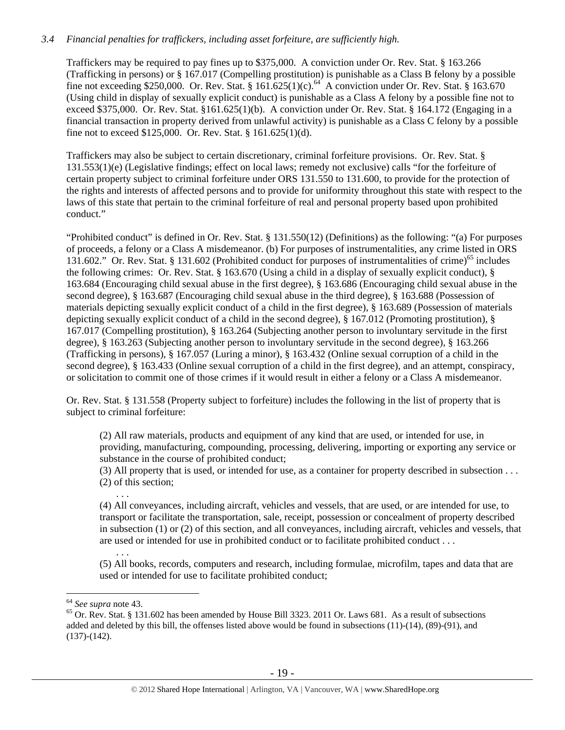# *3.4 Financial penalties for traffickers, including asset forfeiture, are sufficiently high.*

Traffickers may be required to pay fines up to \$375,000. A conviction under Or. Rev. Stat. § 163.266 (Trafficking in persons) or § 167.017 (Compelling prostitution) is punishable as a Class B felony by a possible fine not exceeding \$250,000. Or. Rev. Stat. §  $161.625(1)(c)$ .<sup>64</sup> A conviction under Or. Rev. Stat. § 163.670 (Using child in display of sexually explicit conduct) is punishable as a Class A felony by a possible fine not to exceed \$375,000. Or. Rev. Stat. §161.625(1)(b). A conviction under Or. Rev. Stat. § 164.172 (Engaging in a financial transaction in property derived from unlawful activity) is punishable as a Class C felony by a possible fine not to exceed \$125,000. Or. Rev. Stat. § 161.625(1)(d).

Traffickers may also be subject to certain discretionary, criminal forfeiture provisions. Or. Rev. Stat. § 131.553(1)(e) (Legislative findings; effect on local laws; remedy not exclusive) calls "for the forfeiture of certain property subject to criminal forfeiture under ORS 131.550 to 131.600, to provide for the protection of the rights and interests of affected persons and to provide for uniformity throughout this state with respect to the laws of this state that pertain to the criminal forfeiture of real and personal property based upon prohibited conduct."

"Prohibited conduct" is defined in Or. Rev. Stat. § 131.550(12) (Definitions) as the following: "(a) For purposes of proceeds, a felony or a Class A misdemeanor. (b) For purposes of instrumentalities, any crime listed in ORS 131.602." Or. Rev. Stat. § 131.602 (Prohibited conduct for purposes of instrumentalities of crime)<sup>65</sup> includes the following crimes: Or. Rev. Stat. § 163.670 (Using a child in a display of sexually explicit conduct), § 163.684 (Encouraging child sexual abuse in the first degree), § 163.686 (Encouraging child sexual abuse in the second degree), § 163.687 (Encouraging child sexual abuse in the third degree), § 163.688 (Possession of materials depicting sexually explicit conduct of a child in the first degree), § 163.689 (Possession of materials depicting sexually explicit conduct of a child in the second degree), § 167.012 (Promoting prostitution), § 167.017 (Compelling prostitution), § 163.264 (Subjecting another person to involuntary servitude in the first degree), § 163.263 (Subjecting another person to involuntary servitude in the second degree), § 163.266 (Trafficking in persons), § 167.057 (Luring a minor), § 163.432 (Online sexual corruption of a child in the second degree), § 163.433 (Online sexual corruption of a child in the first degree), and an attempt, conspiracy, or solicitation to commit one of those crimes if it would result in either a felony or a Class A misdemeanor.

Or. Rev. Stat. § 131.558 (Property subject to forfeiture) includes the following in the list of property that is subject to criminal forfeiture:

(2) All raw materials, products and equipment of any kind that are used, or intended for use, in providing, manufacturing, compounding, processing, delivering, importing or exporting any service or substance in the course of prohibited conduct;

(3) All property that is used, or intended for use, as a container for property described in subsection . . . (2) of this section;

(4) All conveyances, including aircraft, vehicles and vessels, that are used, or are intended for use, to transport or facilitate the transportation, sale, receipt, possession or concealment of property described in subsection (1) or (2) of this section, and all conveyances, including aircraft, vehicles and vessels, that are used or intended for use in prohibited conduct or to facilitate prohibited conduct . . .

. . . (5) All books, records, computers and research, including formulae, microfilm, tapes and data that are used or intended for use to facilitate prohibited conduct;

. . .

 $64$  See supra note 43.

<sup>&</sup>lt;sup>65</sup> Or. Rev. Stat. § 131.602 has been amended by House Bill 3323. 2011 Or. Laws 681. As a result of subsections added and deleted by this bill, the offenses listed above would be found in subsections (11)-(14), (89)-(91), and (137)-(142).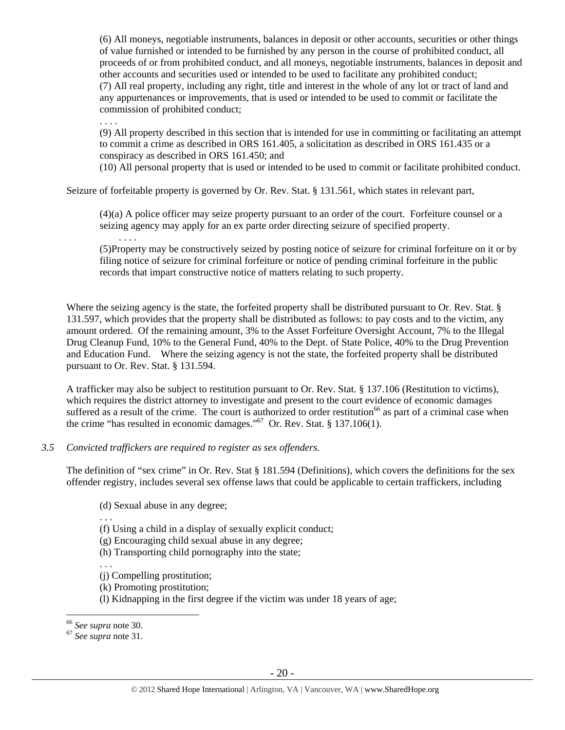(6) All moneys, negotiable instruments, balances in deposit or other accounts, securities or other things of value furnished or intended to be furnished by any person in the course of prohibited conduct, all proceeds of or from prohibited conduct, and all moneys, negotiable instruments, balances in deposit and other accounts and securities used or intended to be used to facilitate any prohibited conduct; (7) All real property, including any right, title and interest in the whole of any lot or tract of land and any appurtenances or improvements, that is used or intended to be used to commit or facilitate the commission of prohibited conduct;

. . . .

. . . .

(9) All property described in this section that is intended for use in committing or facilitating an attempt to commit a crime as described in ORS 161.405, a solicitation as described in ORS 161.435 or a conspiracy as described in ORS 161.450; and

(10) All personal property that is used or intended to be used to commit or facilitate prohibited conduct.

Seizure of forfeitable property is governed by Or. Rev. Stat. § 131.561, which states in relevant part,

(4)(a) A police officer may seize property pursuant to an order of the court. Forfeiture counsel or a seizing agency may apply for an ex parte order directing seizure of specified property.

(5)Property may be constructively seized by posting notice of seizure for criminal forfeiture on it or by filing notice of seizure for criminal forfeiture or notice of pending criminal forfeiture in the public records that impart constructive notice of matters relating to such property.

Where the seizing agency is the state, the forfeited property shall be distributed pursuant to Or. Rev. Stat. § 131.597, which provides that the property shall be distributed as follows: to pay costs and to the victim, any amount ordered. Of the remaining amount, 3% to the Asset Forfeiture Oversight Account, 7% to the Illegal Drug Cleanup Fund, 10% to the General Fund, 40% to the Dept. of State Police, 40% to the Drug Prevention and Education Fund. Where the seizing agency is not the state, the forfeited property shall be distributed pursuant to Or. Rev. Stat. § 131.594.

A trafficker may also be subject to restitution pursuant to Or. Rev. Stat. § 137.106 (Restitution to victims), which requires the district attorney to investigate and present to the court evidence of economic damages suffered as a result of the crime. The court is authorized to order restitution<sup>66</sup> as part of a criminal case when the crime "has resulted in economic damages."67 Or. Rev. Stat. § 137.106(1).

## *3.5 Convicted traffickers are required to register as sex offenders.*

The definition of "sex crime" in Or. Rev. Stat § 181.594 (Definitions), which covers the definitions for the sex offender registry, includes several sex offense laws that could be applicable to certain traffickers, including

(d) Sexual abuse in any degree;

. . .

(f) Using a child in a display of sexually explicit conduct;

(g) Encouraging child sexual abuse in any degree;

(h) Transporting child pornography into the state;

. . . (j) Compelling prostitution;

(k) Promoting prostitution;

(l) Kidnapping in the first degree if the victim was under 18 years of age;

<sup>&</sup>lt;sup>66</sup> See supra note 30.

<sup>66</sup> *See supra* note 30. 67 *See supra* note 31.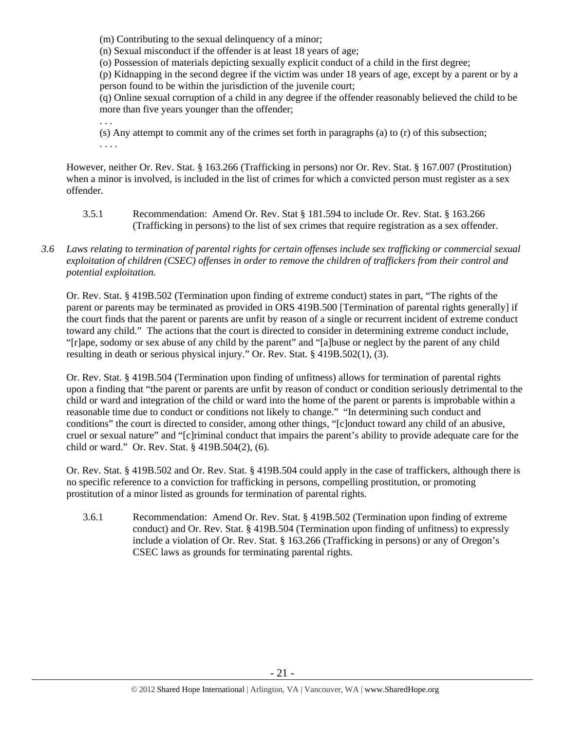(m) Contributing to the sexual delinquency of a minor;

(n) Sexual misconduct if the offender is at least 18 years of age;

(o) Possession of materials depicting sexually explicit conduct of a child in the first degree;

(p) Kidnapping in the second degree if the victim was under 18 years of age, except by a parent or by a person found to be within the jurisdiction of the juvenile court;

(q) Online sexual corruption of a child in any degree if the offender reasonably believed the child to be more than five years younger than the offender;

. . . (s) Any attempt to commit any of the crimes set forth in paragraphs (a) to (r) of this subsection; . . . .

However, neither Or. Rev. Stat. § 163.266 (Trafficking in persons) nor Or. Rev. Stat. § 167.007 (Prostitution) when a minor is involved, is included in the list of crimes for which a convicted person must register as a sex offender.

- 3.5.1 Recommendation: Amend Or. Rev. Stat § 181.594 to include Or. Rev. Stat. § 163.266 (Trafficking in persons) to the list of sex crimes that require registration as a sex offender.
- *3.6 Laws relating to termination of parental rights for certain offenses include sex trafficking or commercial sexual exploitation of children (CSEC) offenses in order to remove the children of traffickers from their control and potential exploitation.*

Or. Rev. Stat. § 419B.502 (Termination upon finding of extreme conduct) states in part, "The rights of the parent or parents may be terminated as provided in ORS 419B.500 [Termination of parental rights generally] if the court finds that the parent or parents are unfit by reason of a single or recurrent incident of extreme conduct toward any child." The actions that the court is directed to consider in determining extreme conduct include, "[r]ape, sodomy or sex abuse of any child by the parent" and "[a]buse or neglect by the parent of any child resulting in death or serious physical injury." Or. Rev. Stat. § 419B.502(1), (3).

Or. Rev. Stat. § 419B.504 (Termination upon finding of unfitness) allows for termination of parental rights upon a finding that "the parent or parents are unfit by reason of conduct or condition seriously detrimental to the child or ward and integration of the child or ward into the home of the parent or parents is improbable within a reasonable time due to conduct or conditions not likely to change." "In determining such conduct and conditions" the court is directed to consider, among other things, "[c]onduct toward any child of an abusive, cruel or sexual nature" and "[c]riminal conduct that impairs the parent's ability to provide adequate care for the child or ward." Or. Rev. Stat. § 419B.504(2), (6).

Or. Rev. Stat. § 419B.502 and Or. Rev. Stat. § 419B.504 could apply in the case of traffickers, although there is no specific reference to a conviction for trafficking in persons, compelling prostitution, or promoting prostitution of a minor listed as grounds for termination of parental rights.

3.6.1 Recommendation: Amend Or. Rev. Stat. § 419B.502 (Termination upon finding of extreme conduct) and Or. Rev. Stat. § 419B.504 (Termination upon finding of unfitness) to expressly include a violation of Or. Rev. Stat. § 163.266 (Trafficking in persons) or any of Oregon's CSEC laws as grounds for terminating parental rights.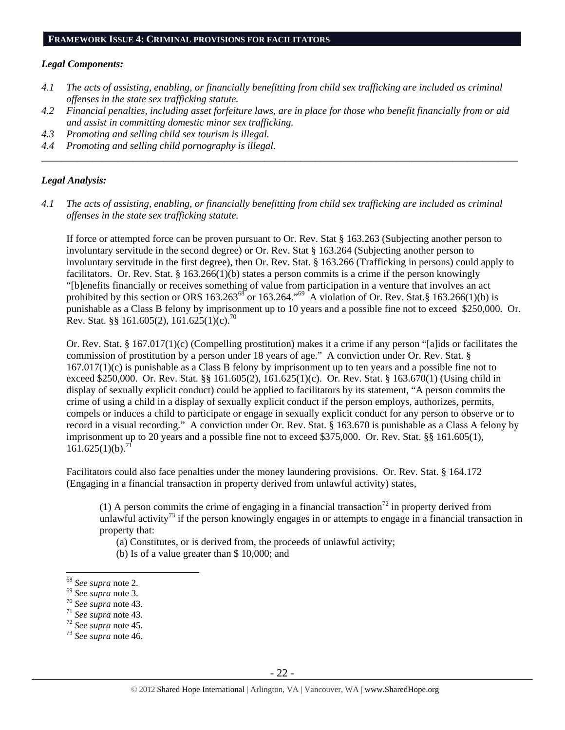#### **FRAMEWORK ISSUE 4: CRIMINAL PROVISIONS FOR FACILITATORS**

#### *Legal Components:*

- *4.1 The acts of assisting, enabling, or financially benefitting from child sex trafficking are included as criminal offenses in the state sex trafficking statute.*
- *4.2 Financial penalties, including asset forfeiture laws, are in place for those who benefit financially from or aid and assist in committing domestic minor sex trafficking.*

*\_\_\_\_\_\_\_\_\_\_\_\_\_\_\_\_\_\_\_\_\_\_\_\_\_\_\_\_\_\_\_\_\_\_\_\_\_\_\_\_\_\_\_\_\_\_\_\_\_\_\_\_\_\_\_\_\_\_\_\_\_\_\_\_\_\_\_\_\_\_\_\_\_\_\_\_\_\_\_\_\_\_\_\_\_\_\_\_\_\_\_\_\_\_* 

- *4.3 Promoting and selling child sex tourism is illegal.*
- *4.4 Promoting and selling child pornography is illegal.*

#### *Legal Analysis:*

*4.1 The acts of assisting, enabling, or financially benefitting from child sex trafficking are included as criminal offenses in the state sex trafficking statute.* 

If force or attempted force can be proven pursuant to Or. Rev. Stat § 163.263 (Subjecting another person to involuntary servitude in the second degree) or Or. Rev. Stat § 163.264 (Subjecting another person to involuntary servitude in the first degree), then Or. Rev. Stat. § 163.266 (Trafficking in persons) could apply to facilitators. Or. Rev. Stat. § 163.266(1)(b) states a person commits is a crime if the person knowingly "[b]enefits financially or receives something of value from participation in a venture that involves an act prohibited by this section or ORS  $163.263^{68}$  or  $163.264.^{69}$  A violation of Or. Rev. Stat.§  $163.266(1)(b)$  is punishable as a Class B felony by imprisonment up to 10 years and a possible fine not to exceed \$250,000. Or. Rev. Stat. §§ 161.605(2), 161.625(1)(c).<sup>70</sup>

Or. Rev. Stat. § 167.017(1)(c) (Compelling prostitution) makes it a crime if any person "[a]ids or facilitates the commission of prostitution by a person under 18 years of age." A conviction under Or. Rev. Stat. § 167.017(1)(c) is punishable as a Class B felony by imprisonment up to ten years and a possible fine not to exceed \$250,000. Or. Rev. Stat. §§ 161.605(2), 161.625(1)(c). Or. Rev. Stat. § 163.670(1) (Using child in display of sexually explicit conduct) could be applied to facilitators by its statement, "A person commits the crime of using a child in a display of sexually explicit conduct if the person employs, authorizes, permits, compels or induces a child to participate or engage in sexually explicit conduct for any person to observe or to record in a visual recording." A conviction under Or. Rev. Stat. § 163.670 is punishable as a Class A felony by imprisonment up to 20 years and a possible fine not to exceed \$375,000. Or. Rev. Stat. §§ 161.605(1),  $161.625(1)(b).<sup>7</sup>$ 

Facilitators could also face penalties under the money laundering provisions. Or. Rev. Stat. § 164.172 (Engaging in a financial transaction in property derived from unlawful activity) states,

(1) A person commits the crime of engaging in a financial transaction<sup>72</sup> in property derived from unlawful activity<sup>73</sup> if the person knowingly engages in or attempts to engage in a financial transaction in property that:

(a) Constitutes, or is derived from, the proceeds of unlawful activity;

(b) Is of a value greater than \$ 10,000; and

<sup>&</sup>lt;sup>68</sup> See supra note 2.

<sup>68</sup> *See supra* note 2. 69 *See supra* note 3. 70 *See supra* note 43. 71 *See supra* note 43. 72 *See supra* note 45. 73 *See supra* note 46.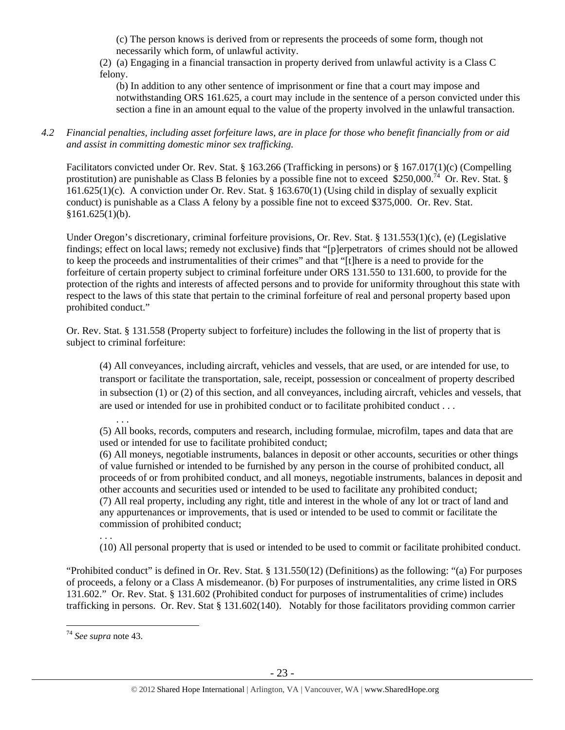(c) The person knows is derived from or represents the proceeds of some form, though not necessarily which form, of unlawful activity.

(2) (a) Engaging in a financial transaction in property derived from unlawful activity is a Class C felony.

(b) In addition to any other sentence of imprisonment or fine that a court may impose and notwithstanding ORS 161.625, a court may include in the sentence of a person convicted under this section a fine in an amount equal to the value of the property involved in the unlawful transaction.

*4.2 Financial penalties, including asset forfeiture laws, are in place for those who benefit financially from or aid and assist in committing domestic minor sex trafficking.* 

Facilitators convicted under Or. Rev. Stat. § 163.266 (Trafficking in persons) or § 167.017(1)(c) (Compelling prostitution) are punishable as Class B felonies by a possible fine not to exceed \$250,000.<sup>74</sup> Or. Rev. Stat. § 161.625(1)(c). A conviction under Or. Rev. Stat. § 163.670(1) (Using child in display of sexually explicit conduct) is punishable as a Class A felony by a possible fine not to exceed \$375,000. Or. Rev. Stat.  $$161.625(1)(b).$ 

Under Oregon's discretionary, criminal forfeiture provisions, Or. Rev. Stat. § 131.553(1)(c), (e) (Legislative findings; effect on local laws; remedy not exclusive) finds that "[p]erpetrators of crimes should not be allowed to keep the proceeds and instrumentalities of their crimes" and that "[t]here is a need to provide for the forfeiture of certain property subject to criminal forfeiture under ORS 131.550 to 131.600, to provide for the protection of the rights and interests of affected persons and to provide for uniformity throughout this state with respect to the laws of this state that pertain to the criminal forfeiture of real and personal property based upon prohibited conduct."

Or. Rev. Stat. § 131.558 (Property subject to forfeiture) includes the following in the list of property that is subject to criminal forfeiture:

(4) All conveyances, including aircraft, vehicles and vessels, that are used, or are intended for use, to transport or facilitate the transportation, sale, receipt, possession or concealment of property described in subsection (1) or (2) of this section, and all conveyances, including aircraft, vehicles and vessels, that are used or intended for use in prohibited conduct or to facilitate prohibited conduct . . .

. . . (5) All books, records, computers and research, including formulae, microfilm, tapes and data that are used or intended for use to facilitate prohibited conduct;

(6) All moneys, negotiable instruments, balances in deposit or other accounts, securities or other things of value furnished or intended to be furnished by any person in the course of prohibited conduct, all proceeds of or from prohibited conduct, and all moneys, negotiable instruments, balances in deposit and other accounts and securities used or intended to be used to facilitate any prohibited conduct; (7) All real property, including any right, title and interest in the whole of any lot or tract of land and any appurtenances or improvements, that is used or intended to be used to commit or facilitate the commission of prohibited conduct;

. . .

(10) All personal property that is used or intended to be used to commit or facilitate prohibited conduct.

"Prohibited conduct" is defined in Or. Rev. Stat. § 131.550(12) (Definitions) as the following: "(a) For purposes of proceeds, a felony or a Class A misdemeanor. (b) For purposes of instrumentalities, any crime listed in ORS 131.602." Or. Rev. Stat. § 131.602 (Prohibited conduct for purposes of instrumentalities of crime) includes trafficking in persons. Or. Rev. Stat § 131.602(140). Notably for those facilitators providing common carrier

 $\overline{a}$ 

<sup>74</sup> *See supra* note 43.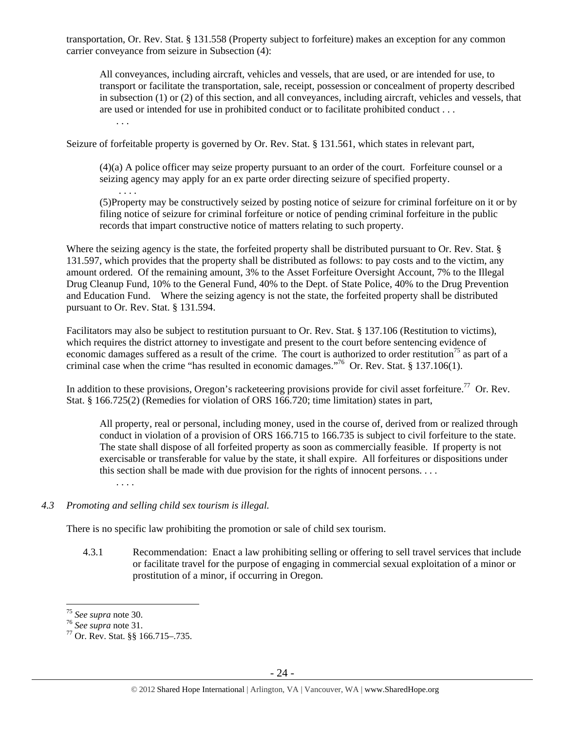transportation, Or. Rev. Stat. § 131.558 (Property subject to forfeiture) makes an exception for any common carrier conveyance from seizure in Subsection (4):

All conveyances, including aircraft, vehicles and vessels, that are used, or are intended for use, to transport or facilitate the transportation, sale, receipt, possession or concealment of property described in subsection (1) or (2) of this section, and all conveyances, including aircraft, vehicles and vessels, that are used or intended for use in prohibited conduct or to facilitate prohibited conduct . . .

. . .

. . . .

Seizure of forfeitable property is governed by Or. Rev. Stat. § 131.561, which states in relevant part,

(4)(a) A police officer may seize property pursuant to an order of the court. Forfeiture counsel or a seizing agency may apply for an ex parte order directing seizure of specified property.

(5)Property may be constructively seized by posting notice of seizure for criminal forfeiture on it or by filing notice of seizure for criminal forfeiture or notice of pending criminal forfeiture in the public records that impart constructive notice of matters relating to such property.

Where the seizing agency is the state, the forfeited property shall be distributed pursuant to Or. Rev. Stat. § 131.597, which provides that the property shall be distributed as follows: to pay costs and to the victim, any amount ordered. Of the remaining amount, 3% to the Asset Forfeiture Oversight Account, 7% to the Illegal Drug Cleanup Fund, 10% to the General Fund, 40% to the Dept. of State Police, 40% to the Drug Prevention and Education Fund. Where the seizing agency is not the state, the forfeited property shall be distributed pursuant to Or. Rev. Stat. § 131.594.

Facilitators may also be subject to restitution pursuant to Or. Rev. Stat. § 137.106 (Restitution to victims), which requires the district attorney to investigate and present to the court before sentencing evidence of economic damages suffered as a result of the crime. The court is authorized to order restitution<sup>75</sup> as part of a criminal case when the crime "has resulted in economic damages."76 Or. Rev. Stat. § 137.106(1).

In addition to these provisions, Oregon's racketeering provisions provide for civil asset for feiture.<sup>77</sup> Or. Rev. Stat. § 166.725(2) (Remedies for violation of ORS 166.720; time limitation) states in part,

All property, real or personal, including money, used in the course of, derived from or realized through conduct in violation of a provision of ORS 166.715 to 166.735 is subject to civil forfeiture to the state. The state shall dispose of all forfeited property as soon as commercially feasible. If property is not exercisable or transferable for value by the state, it shall expire. All forfeitures or dispositions under this section shall be made with due provision for the rights of innocent persons. . . .

. . . .

## *4.3 Promoting and selling child sex tourism is illegal.*

There is no specific law prohibiting the promotion or sale of child sex tourism.

4.3.1 Recommendation: Enact a law prohibiting selling or offering to sell travel services that include or facilitate travel for the purpose of engaging in commercial sexual exploitation of a minor or prostitution of a minor, if occurring in Oregon.

<sup>&</sup>lt;sup>75</sup> See supra note 30.

<sup>&</sup>lt;sup>76</sup> *See supra* note 31.<br><sup>77</sup> Or. Rev. Stat. §§ 166.715–.735.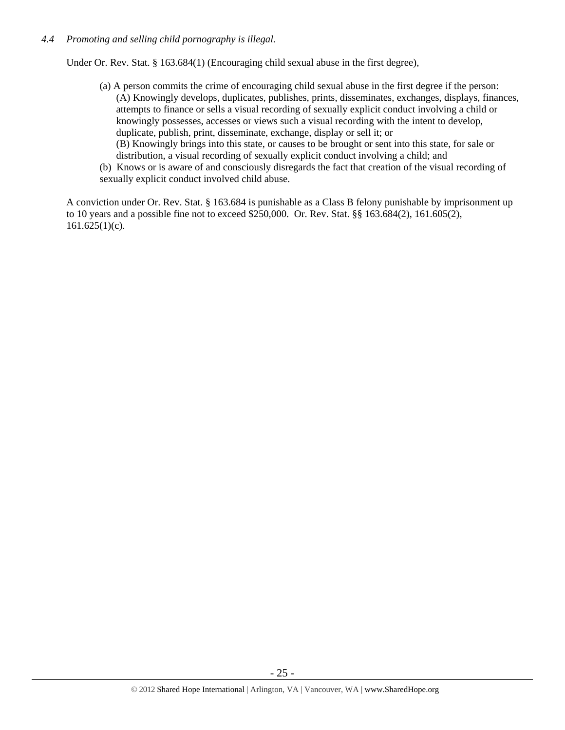#### *4.4 Promoting and selling child pornography is illegal.*

Under Or. Rev. Stat. § 163.684(1) (Encouraging child sexual abuse in the first degree),

- (a) A person commits the crime of encouraging child sexual abuse in the first degree if the person: (A) Knowingly develops, duplicates, publishes, prints, disseminates, exchanges, displays, finances, attempts to finance or sells a visual recording of sexually explicit conduct involving a child or knowingly possesses, accesses or views such a visual recording with the intent to develop, duplicate, publish, print, disseminate, exchange, display or sell it; or
	- (B) Knowingly brings into this state, or causes to be brought or sent into this state, for sale or distribution, a visual recording of sexually explicit conduct involving a child; and
- (b) Knows or is aware of and consciously disregards the fact that creation of the visual recording of sexually explicit conduct involved child abuse.

A conviction under Or. Rev. Stat. § 163.684 is punishable as a Class B felony punishable by imprisonment up to 10 years and a possible fine not to exceed \$250,000. Or. Rev. Stat. §§ 163.684(2), 161.605(2),  $161.625(1)(c)$ .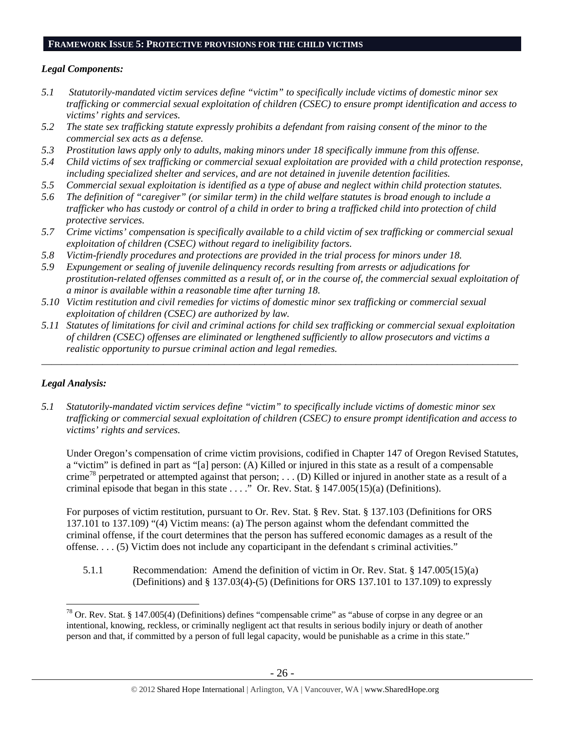#### **FRAMEWORK ISSUE 5: PROTECTIVE PROVISIONS FOR THE CHILD VICTIMS**

## *Legal Components:*

- *5.1 Statutorily-mandated victim services define "victim" to specifically include victims of domestic minor sex trafficking or commercial sexual exploitation of children (CSEC) to ensure prompt identification and access to victims' rights and services.*
- *5.2 The state sex trafficking statute expressly prohibits a defendant from raising consent of the minor to the commercial sex acts as a defense.*
- *5.3 Prostitution laws apply only to adults, making minors under 18 specifically immune from this offense.*
- *5.4 Child victims of sex trafficking or commercial sexual exploitation are provided with a child protection response, including specialized shelter and services, and are not detained in juvenile detention facilities.*
- *5.5 Commercial sexual exploitation is identified as a type of abuse and neglect within child protection statutes.*
- *5.6 The definition of "caregiver" (or similar term) in the child welfare statutes is broad enough to include a trafficker who has custody or control of a child in order to bring a trafficked child into protection of child protective services.*
- *5.7 Crime victims' compensation is specifically available to a child victim of sex trafficking or commercial sexual exploitation of children (CSEC) without regard to ineligibility factors.*
- *5.8 Victim-friendly procedures and protections are provided in the trial process for minors under 18.*
- *5.9 Expungement or sealing of juvenile delinquency records resulting from arrests or adjudications for prostitution-related offenses committed as a result of, or in the course of, the commercial sexual exploitation of a minor is available within a reasonable time after turning 18.*
- *5.10 Victim restitution and civil remedies for victims of domestic minor sex trafficking or commercial sexual exploitation of children (CSEC) are authorized by law.*
- *5.11 Statutes of limitations for civil and criminal actions for child sex trafficking or commercial sexual exploitation of children (CSEC) offenses are eliminated or lengthened sufficiently to allow prosecutors and victims a realistic opportunity to pursue criminal action and legal remedies.*

*\_\_\_\_\_\_\_\_\_\_\_\_\_\_\_\_\_\_\_\_\_\_\_\_\_\_\_\_\_\_\_\_\_\_\_\_\_\_\_\_\_\_\_\_\_\_\_\_\_\_\_\_\_\_\_\_\_\_\_\_\_\_\_\_\_\_\_\_\_\_\_\_\_\_\_\_\_\_\_\_\_\_\_\_\_\_\_\_\_\_\_\_\_\_* 

# *Legal Analysis:*

 $\overline{a}$ 

*5.1 Statutorily-mandated victim services define "victim" to specifically include victims of domestic minor sex trafficking or commercial sexual exploitation of children (CSEC) to ensure prompt identification and access to victims' rights and services.* 

Under Oregon's compensation of crime victim provisions, codified in Chapter 147 of Oregon Revised Statutes, a "victim" is defined in part as "[a] person: (A) Killed or injured in this state as a result of a compensable crime<sup>78</sup> perpetrated or attempted against that person; ... (D) Killed or injured in another state as a result of a criminal episode that began in this state  $\dots$ .  $\overline{O}$  Or. Rev. Stat. § 147.005(15)(a) (Definitions).

For purposes of victim restitution, pursuant to Or. Rev. Stat. § Rev. Stat. § 137.103 (Definitions for ORS 137.101 to 137.109) "(4) Victim means: (a) The person against whom the defendant committed the criminal offense, if the court determines that the person has suffered economic damages as a result of the offense. . . . (5) Victim does not include any coparticipant in the defendant s criminal activities."

5.1.1 Recommendation: Amend the definition of victim in Or. Rev. Stat. § 147.005(15)(a) (Definitions) and § 137.03(4)-(5) (Definitions for ORS 137.101 to 137.109) to expressly

<sup>78</sup> Or. Rev. Stat. § 147.005(4) (Definitions) defines "compensable crime" as "abuse of corpse in any degree or an intentional, knowing, reckless, or criminally negligent act that results in serious bodily injury or death of another person and that, if committed by a person of full legal capacity, would be punishable as a crime in this state."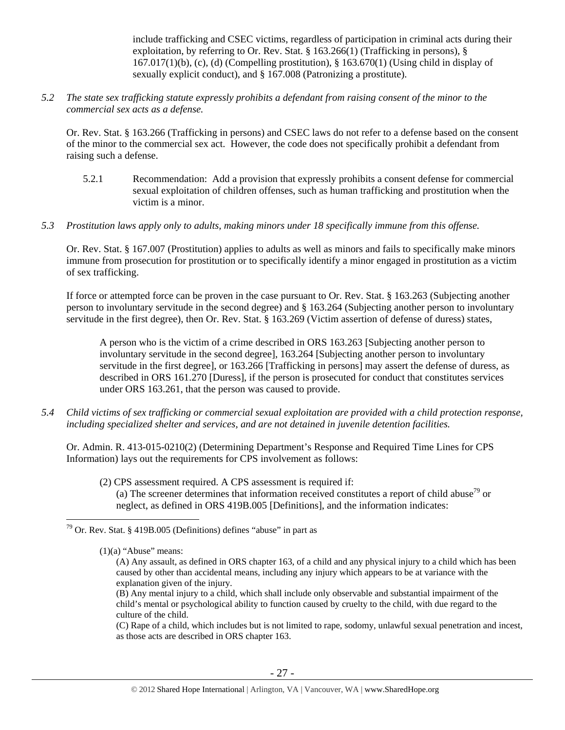include trafficking and CSEC victims, regardless of participation in criminal acts during their exploitation, by referring to Or. Rev. Stat. § 163.266(1) (Trafficking in persons), §  $167.017(1)(b)$ , (c), (d) (Compelling prostitution), § 163.670(1) (Using child in display of sexually explicit conduct), and § 167.008 (Patronizing a prostitute).

*5.2 The state sex trafficking statute expressly prohibits a defendant from raising consent of the minor to the commercial sex acts as a defense.* 

Or. Rev. Stat. § 163.266 (Trafficking in persons) and CSEC laws do not refer to a defense based on the consent of the minor to the commercial sex act. However, the code does not specifically prohibit a defendant from raising such a defense.

- 5.2.1 Recommendation: Add a provision that expressly prohibits a consent defense for commercial sexual exploitation of children offenses, such as human trafficking and prostitution when the victim is a minor.
- *5.3 Prostitution laws apply only to adults, making minors under 18 specifically immune from this offense.*

Or. Rev. Stat. § 167.007 (Prostitution) applies to adults as well as minors and fails to specifically make minors immune from prosecution for prostitution or to specifically identify a minor engaged in prostitution as a victim of sex trafficking.

If force or attempted force can be proven in the case pursuant to Or. Rev. Stat. § 163.263 (Subjecting another person to involuntary servitude in the second degree) and § 163.264 (Subjecting another person to involuntary servitude in the first degree), then Or. Rev. Stat. § 163.269 (Victim assertion of defense of duress) states,

A person who is the victim of a crime described in ORS 163.263 [Subjecting another person to involuntary servitude in the second degree], 163.264 [Subjecting another person to involuntary servitude in the first degree], or 163.266 [Trafficking in persons] may assert the defense of duress, as described in ORS 161.270 [Duress], if the person is prosecuted for conduct that constitutes services under ORS 163.261, that the person was caused to provide.

*5.4 Child victims of sex trafficking or commercial sexual exploitation are provided with a child protection response, including specialized shelter and services, and are not detained in juvenile detention facilities.* 

Or. Admin. R. 413-015-0210(2) (Determining Department's Response and Required Time Lines for CPS Information) lays out the requirements for CPS involvement as follows:

(2) CPS assessment required. A CPS assessment is required if: (a) The screener determines that information received constitutes a report of child abuse<sup>79</sup> or neglect, as defined in ORS 419B.005 [Definitions], and the information indicates:

 $\overline{a}$ 

(C) Rape of a child, which includes but is not limited to rape, sodomy, unlawful sexual penetration and incest, as those acts are described in ORS chapter 163.

 $79$  Or. Rev. Stat. § 419B.005 (Definitions) defines "abuse" in part as

 $(1)(a)$  "Abuse" means:

<sup>(</sup>A) Any assault, as defined in ORS chapter 163, of a child and any physical injury to a child which has been caused by other than accidental means, including any injury which appears to be at variance with the explanation given of the injury.

<sup>(</sup>B) Any mental injury to a child, which shall include only observable and substantial impairment of the child's mental or psychological ability to function caused by cruelty to the child, with due regard to the culture of the child.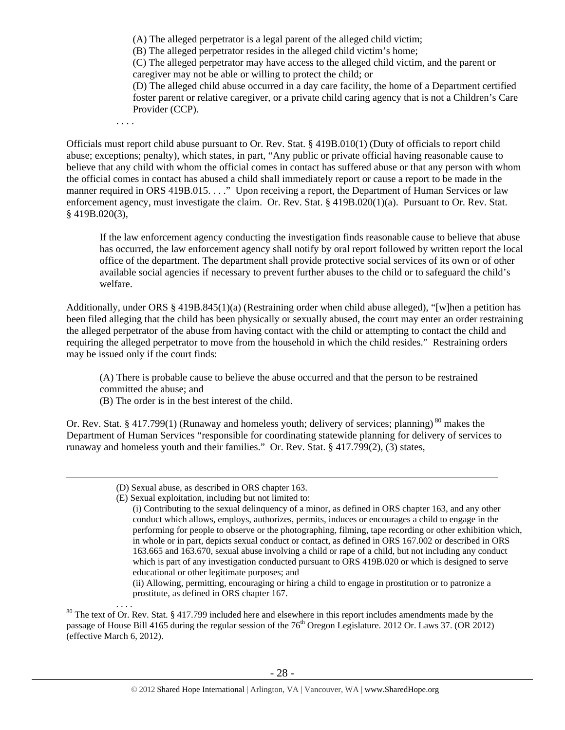(A) The alleged perpetrator is a legal parent of the alleged child victim;

(B) The alleged perpetrator resides in the alleged child victim's home;

(C) The alleged perpetrator may have access to the alleged child victim, and the parent or caregiver may not be able or willing to protect the child; or

(D) The alleged child abuse occurred in a day care facility, the home of a Department certified foster parent or relative caregiver, or a private child caring agency that is not a Children's Care Provider (CCP).

. . . .

Officials must report child abuse pursuant to Or. Rev. Stat. § 419B.010(1) (Duty of officials to report child abuse; exceptions; penalty), which states, in part, "Any public or private official having reasonable cause to believe that any child with whom the official comes in contact has suffered abuse or that any person with whom the official comes in contact has abused a child shall immediately report or cause a report to be made in the manner required in ORS 419B.015. . . ." Upon receiving a report, the Department of Human Services or law enforcement agency, must investigate the claim. Or. Rev. Stat. § 419B.020(1)(a). Pursuant to Or. Rev. Stat. § 419B.020(3),

If the law enforcement agency conducting the investigation finds reasonable cause to believe that abuse has occurred, the law enforcement agency shall notify by oral report followed by written report the local office of the department. The department shall provide protective social services of its own or of other available social agencies if necessary to prevent further abuses to the child or to safeguard the child's welfare.

Additionally, under ORS § 419B.845(1)(a) (Restraining order when child abuse alleged), "[w]hen a petition has been filed alleging that the child has been physically or sexually abused, the court may enter an order restraining the alleged perpetrator of the abuse from having contact with the child or attempting to contact the child and requiring the alleged perpetrator to move from the household in which the child resides." Restraining orders may be issued only if the court finds:

(A) There is probable cause to believe the abuse occurred and that the person to be restrained committed the abuse; and

(B) The order is in the best interest of the child.

Or. Rev. Stat. § 417.799(1) (Runaway and homeless youth; delivery of services; planning)<sup>80</sup> makes the Department of Human Services "responsible for coordinating statewide planning for delivery of services to runaway and homeless youth and their families." Or. Rev. Stat. § 417.799(2), (3) states,

(E) Sexual exploitation, including but not limited to:

(ii) Allowing, permitting, encouraging or hiring a child to engage in prostitution or to patronize a prostitute, as defined in ORS chapter 167.

 $80$  The text of Or. Rev. Stat. § 417.799 included here and elsewhere in this report includes amendments made by the passage of House Bill 4165 during the regular session of the  $76<sup>th</sup>$  Oregon Legislature. 2012 Or. Laws 37. (OR 2012) (effective March 6, 2012).

 <sup>(</sup>D) Sexual abuse, as described in ORS chapter 163.

<sup>(</sup>i) Contributing to the sexual delinquency of a minor, as defined in ORS chapter 163, and any other conduct which allows, employs, authorizes, permits, induces or encourages a child to engage in the performing for people to observe or the photographing, filming, tape recording or other exhibition which, in whole or in part, depicts sexual conduct or contact, as defined in ORS 167.002 or described in ORS 163.665 and 163.670, sexual abuse involving a child or rape of a child, but not including any conduct which is part of any investigation conducted pursuant to ORS 419B.020 or which is designed to serve educational or other legitimate purposes; and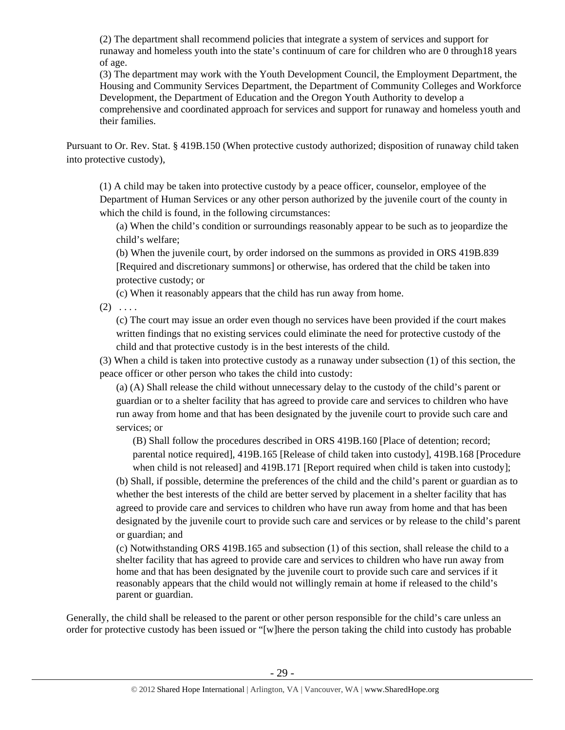(2) The department shall recommend policies that integrate a system of services and support for runaway and homeless youth into the state's continuum of care for children who are 0 through18 years of age.

(3) The department may work with the Youth Development Council, the Employment Department, the Housing and Community Services Department, the Department of Community Colleges and Workforce Development, the Department of Education and the Oregon Youth Authority to develop a comprehensive and coordinated approach for services and support for runaway and homeless youth and their families.

Pursuant to Or. Rev. Stat. § 419B.150 (When protective custody authorized; disposition of runaway child taken into protective custody),

(1) A child may be taken into protective custody by a peace officer, counselor, employee of the Department of Human Services or any other person authorized by the juvenile court of the county in which the child is found, in the following circumstances:

(a) When the child's condition or surroundings reasonably appear to be such as to jeopardize the child's welfare;

(b) When the juvenile court, by order indorsed on the summons as provided in ORS 419B.839 [Required and discretionary summons] or otherwise, has ordered that the child be taken into protective custody; or

(c) When it reasonably appears that the child has run away from home.

 $(2) \ldots$ 

(c) The court may issue an order even though no services have been provided if the court makes written findings that no existing services could eliminate the need for protective custody of the child and that protective custody is in the best interests of the child.

(3) When a child is taken into protective custody as a runaway under subsection (1) of this section, the peace officer or other person who takes the child into custody:

(a) (A) Shall release the child without unnecessary delay to the custody of the child's parent or guardian or to a shelter facility that has agreed to provide care and services to children who have run away from home and that has been designated by the juvenile court to provide such care and services; or

(B) Shall follow the procedures described in ORS 419B.160 [Place of detention; record; parental notice required], 419B.165 [Release of child taken into custody], 419B.168 [Procedure when child is not released] and 419B.171 [Report required when child is taken into custody];

(b) Shall, if possible, determine the preferences of the child and the child's parent or guardian as to whether the best interests of the child are better served by placement in a shelter facility that has agreed to provide care and services to children who have run away from home and that has been designated by the juvenile court to provide such care and services or by release to the child's parent or guardian; and

(c) Notwithstanding ORS 419B.165 and subsection (1) of this section, shall release the child to a shelter facility that has agreed to provide care and services to children who have run away from home and that has been designated by the juvenile court to provide such care and services if it reasonably appears that the child would not willingly remain at home if released to the child's parent or guardian.

Generally, the child shall be released to the parent or other person responsible for the child's care unless an order for protective custody has been issued or "[w]here the person taking the child into custody has probable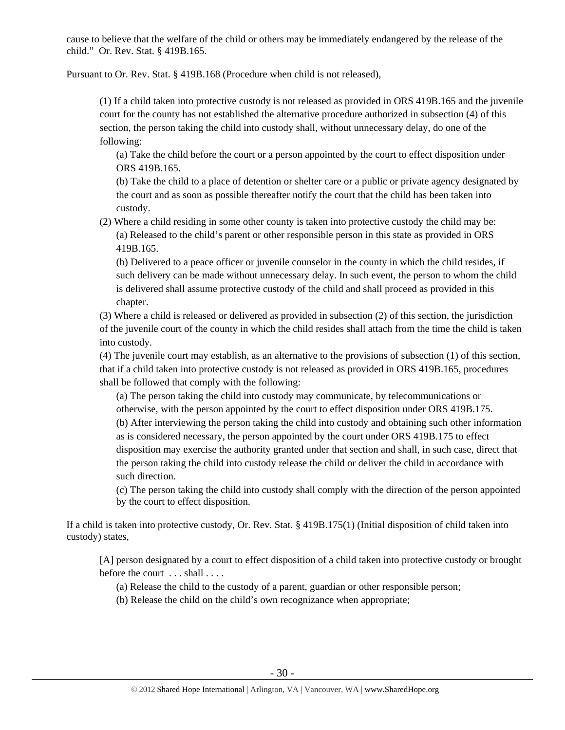cause to believe that the welfare of the child or others may be immediately endangered by the release of the child." Or. Rev. Stat. § 419B.165.

Pursuant to Or. Rev. Stat. § 419B.168 (Procedure when child is not released),

(1) If a child taken into protective custody is not released as provided in ORS 419B.165 and the juvenile court for the county has not established the alternative procedure authorized in subsection (4) of this section, the person taking the child into custody shall, without unnecessary delay, do one of the following:

(a) Take the child before the court or a person appointed by the court to effect disposition under ORS 419B.165.

(b) Take the child to a place of detention or shelter care or a public or private agency designated by the court and as soon as possible thereafter notify the court that the child has been taken into custody.

(2) Where a child residing in some other county is taken into protective custody the child may be: (a) Released to the child's parent or other responsible person in this state as provided in ORS 419B.165.

(b) Delivered to a peace officer or juvenile counselor in the county in which the child resides, if such delivery can be made without unnecessary delay. In such event, the person to whom the child is delivered shall assume protective custody of the child and shall proceed as provided in this chapter.

(3) Where a child is released or delivered as provided in subsection (2) of this section, the jurisdiction of the juvenile court of the county in which the child resides shall attach from the time the child is taken into custody.

(4) The juvenile court may establish, as an alternative to the provisions of subsection (1) of this section, that if a child taken into protective custody is not released as provided in ORS 419B.165, procedures shall be followed that comply with the following:

(a) The person taking the child into custody may communicate, by telecommunications or otherwise, with the person appointed by the court to effect disposition under ORS 419B.175. (b) After interviewing the person taking the child into custody and obtaining such other information as is considered necessary, the person appointed by the court under ORS 419B.175 to effect disposition may exercise the authority granted under that section and shall, in such case, direct that the person taking the child into custody release the child or deliver the child in accordance with such direction.

(c) The person taking the child into custody shall comply with the direction of the person appointed by the court to effect disposition.

If a child is taken into protective custody, Or. Rev. Stat. § 419B.175(1) (Initial disposition of child taken into custody) states,

[A] person designated by a court to effect disposition of a child taken into protective custody or brought before the court ... shall ....

- (a) Release the child to the custody of a parent, guardian or other responsible person;
- (b) Release the child on the child's own recognizance when appropriate;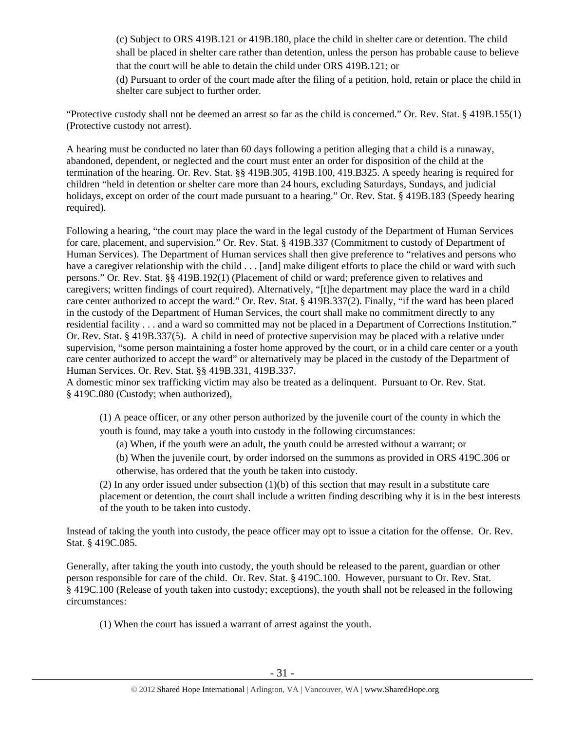(c) Subject to ORS 419B.121 or 419B.180, place the child in shelter care or detention. The child shall be placed in shelter care rather than detention, unless the person has probable cause to believe that the court will be able to detain the child under ORS 419B.121; or

(d) Pursuant to order of the court made after the filing of a petition, hold, retain or place the child in shelter care subject to further order.

"Protective custody shall not be deemed an arrest so far as the child is concerned." Or. Rev. Stat. § 419B.155(1) (Protective custody not arrest).

A hearing must be conducted no later than 60 days following a petition alleging that a child is a runaway, abandoned, dependent, or neglected and the court must enter an order for disposition of the child at the termination of the hearing. Or. Rev. Stat. §§ 419B.305, 419B.100, 419.B325. A speedy hearing is required for children "held in detention or shelter care more than 24 hours, excluding Saturdays, Sundays, and judicial holidays, except on order of the court made pursuant to a hearing." Or. Rev. Stat. § 419B.183 (Speedy hearing required).

Following a hearing, "the court may place the ward in the legal custody of the Department of Human Services for care, placement, and supervision." Or. Rev. Stat. § 419B.337 (Commitment to custody of Department of Human Services). The Department of Human services shall then give preference to "relatives and persons who have a caregiver relationship with the child . . . [and] make diligent efforts to place the child or ward with such persons." Or. Rev. Stat. §§ 419B.192(1) (Placement of child or ward; preference given to relatives and caregivers; written findings of court required). Alternatively, "[t]he department may place the ward in a child care center authorized to accept the ward." Or. Rev. Stat. § 419B.337(2). Finally, "if the ward has been placed in the custody of the Department of Human Services, the court shall make no commitment directly to any residential facility . . . and a ward so committed may not be placed in a Department of Corrections Institution." Or. Rev. Stat. § 419B.337(5). A child in need of protective supervision may be placed with a relative under supervision, "some person maintaining a foster home approved by the court, or in a child care center or a youth care center authorized to accept the ward" or alternatively may be placed in the custody of the Department of Human Services. Or. Rev. Stat. §§ 419B.331, 419B.337.

A domestic minor sex trafficking victim may also be treated as a delinquent. Pursuant to Or. Rev. Stat. § 419C.080 (Custody; when authorized),

(1) A peace officer, or any other person authorized by the juvenile court of the county in which the youth is found, may take a youth into custody in the following circumstances:

(a) When, if the youth were an adult, the youth could be arrested without a warrant; or

(b) When the juvenile court, by order indorsed on the summons as provided in ORS 419C.306 or otherwise, has ordered that the youth be taken into custody.

(2) In any order issued under subsection (1)(b) of this section that may result in a substitute care placement or detention, the court shall include a written finding describing why it is in the best interests of the youth to be taken into custody.

Instead of taking the youth into custody, the peace officer may opt to issue a citation for the offense. Or. Rev. Stat. § 419C.085.

Generally, after taking the youth into custody, the youth should be released to the parent, guardian or other person responsible for care of the child. Or. Rev. Stat. § 419C.100. However, pursuant to Or. Rev. Stat. § 419C.100 (Release of youth taken into custody; exceptions), the youth shall not be released in the following circumstances:

(1) When the court has issued a warrant of arrest against the youth.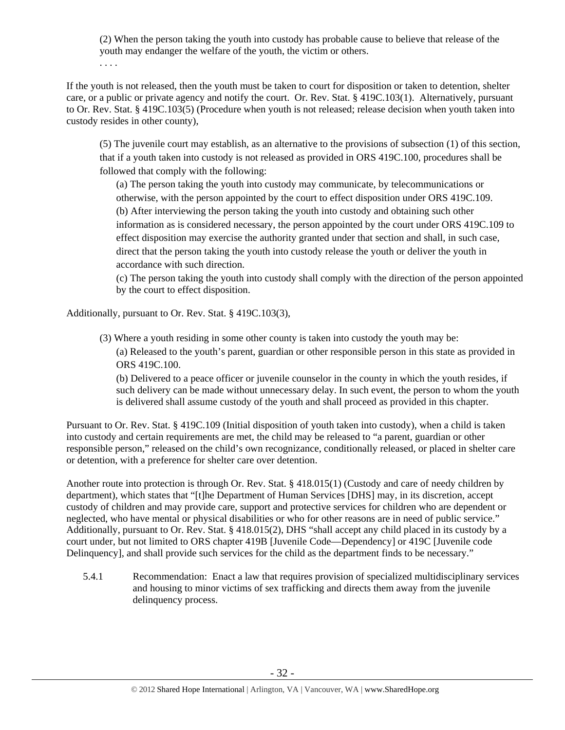(2) When the person taking the youth into custody has probable cause to believe that release of the youth may endanger the welfare of the youth, the victim or others.

. . . .

If the youth is not released, then the youth must be taken to court for disposition or taken to detention, shelter care, or a public or private agency and notify the court. Or. Rev. Stat. § 419C.103(1). Alternatively, pursuant to Or. Rev. Stat. § 419C.103(5) (Procedure when youth is not released; release decision when youth taken into custody resides in other county),

(5) The juvenile court may establish, as an alternative to the provisions of subsection (1) of this section, that if a youth taken into custody is not released as provided in ORS 419C.100, procedures shall be followed that comply with the following:

(a) The person taking the youth into custody may communicate, by telecommunications or otherwise, with the person appointed by the court to effect disposition under ORS 419C.109. (b) After interviewing the person taking the youth into custody and obtaining such other information as is considered necessary, the person appointed by the court under ORS 419C.109 to effect disposition may exercise the authority granted under that section and shall, in such case, direct that the person taking the youth into custody release the youth or deliver the youth in accordance with such direction.

(c) The person taking the youth into custody shall comply with the direction of the person appointed by the court to effect disposition.

Additionally, pursuant to Or. Rev. Stat. § 419C.103(3),

(3) Where a youth residing in some other county is taken into custody the youth may be: (a) Released to the youth's parent, guardian or other responsible person in this state as provided in ORS 419C.100.

(b) Delivered to a peace officer or juvenile counselor in the county in which the youth resides, if such delivery can be made without unnecessary delay. In such event, the person to whom the youth is delivered shall assume custody of the youth and shall proceed as provided in this chapter.

Pursuant to Or. Rev. Stat. § 419C.109 (Initial disposition of youth taken into custody), when a child is taken into custody and certain requirements are met, the child may be released to "a parent, guardian or other responsible person," released on the child's own recognizance, conditionally released, or placed in shelter care or detention, with a preference for shelter care over detention.

Another route into protection is through Or. Rev. Stat. § 418.015(1) (Custody and care of needy children by department), which states that "[t]he Department of Human Services [DHS] may, in its discretion, accept custody of children and may provide care, support and protective services for children who are dependent or neglected, who have mental or physical disabilities or who for other reasons are in need of public service." Additionally, pursuant to Or. Rev. Stat. § 418.015(2), DHS "shall accept any child placed in its custody by a court under, but not limited to ORS chapter 419B [Juvenile Code—Dependency] or 419C [Juvenile code Delinquency], and shall provide such services for the child as the department finds to be necessary."

5.4.1 Recommendation: Enact a law that requires provision of specialized multidisciplinary services and housing to minor victims of sex trafficking and directs them away from the juvenile delinquency process.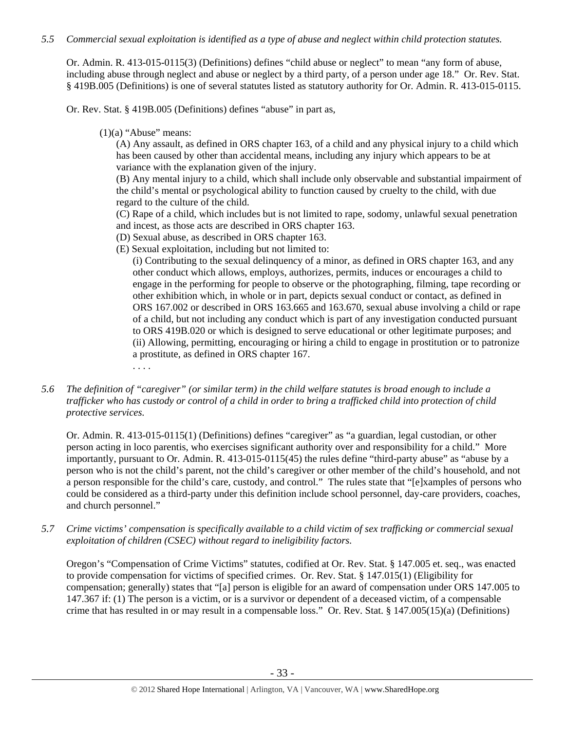# *5.5 Commercial sexual exploitation is identified as a type of abuse and neglect within child protection statutes.*

Or. Admin. R. 413-015-0115(3) (Definitions) defines "child abuse or neglect" to mean "any form of abuse, including abuse through neglect and abuse or neglect by a third party, of a person under age 18." Or. Rev. Stat. § 419B.005 (Definitions) is one of several statutes listed as statutory authority for Or. Admin. R. 413-015-0115.

Or. Rev. Stat. § 419B.005 (Definitions) defines "abuse" in part as,

 $(1)(a)$  "Abuse" means:

(A) Any assault, as defined in ORS chapter 163, of a child and any physical injury to a child which has been caused by other than accidental means, including any injury which appears to be at variance with the explanation given of the injury.

(B) Any mental injury to a child, which shall include only observable and substantial impairment of the child's mental or psychological ability to function caused by cruelty to the child, with due regard to the culture of the child.

(C) Rape of a child, which includes but is not limited to rape, sodomy, unlawful sexual penetration and incest, as those acts are described in ORS chapter 163.

- (D) Sexual abuse, as described in ORS chapter 163.
- (E) Sexual exploitation, including but not limited to:

(i) Contributing to the sexual delinquency of a minor, as defined in ORS chapter 163, and any other conduct which allows, employs, authorizes, permits, induces or encourages a child to engage in the performing for people to observe or the photographing, filming, tape recording or other exhibition which, in whole or in part, depicts sexual conduct or contact, as defined in ORS 167.002 or described in ORS 163.665 and 163.670, sexual abuse involving a child or rape of a child, but not including any conduct which is part of any investigation conducted pursuant to ORS 419B.020 or which is designed to serve educational or other legitimate purposes; and (ii) Allowing, permitting, encouraging or hiring a child to engage in prostitution or to patronize a prostitute, as defined in ORS chapter 167.

- . . . .
- *5.6 The definition of "caregiver" (or similar term) in the child welfare statutes is broad enough to include a trafficker who has custody or control of a child in order to bring a trafficked child into protection of child protective services.*

Or. Admin. R. 413-015-0115(1) (Definitions) defines "caregiver" as "a guardian, legal custodian, or other person acting in loco parentis, who exercises significant authority over and responsibility for a child." More importantly, pursuant to Or. Admin. R. 413-015-0115(45) the rules define "third-party abuse" as "abuse by a person who is not the child's parent, not the child's caregiver or other member of the child's household, and not a person responsible for the child's care, custody, and control." The rules state that "[e]xamples of persons who could be considered as a third-party under this definition include school personnel, day-care providers, coaches, and church personnel."

*5.7 Crime victims' compensation is specifically available to a child victim of sex trafficking or commercial sexual exploitation of children (CSEC) without regard to ineligibility factors.* 

Oregon's "Compensation of Crime Victims" statutes, codified at Or. Rev. Stat. § 147.005 et. seq., was enacted to provide compensation for victims of specified crimes. Or. Rev. Stat. § 147.015(1) (Eligibility for compensation; generally) states that "[a] person is eligible for an award of compensation under ORS 147.005 to 147.367 if: (1) The person is a victim, or is a survivor or dependent of a deceased victim, of a compensable crime that has resulted in or may result in a compensable loss." Or. Rev. Stat. § 147.005(15)(a) (Definitions)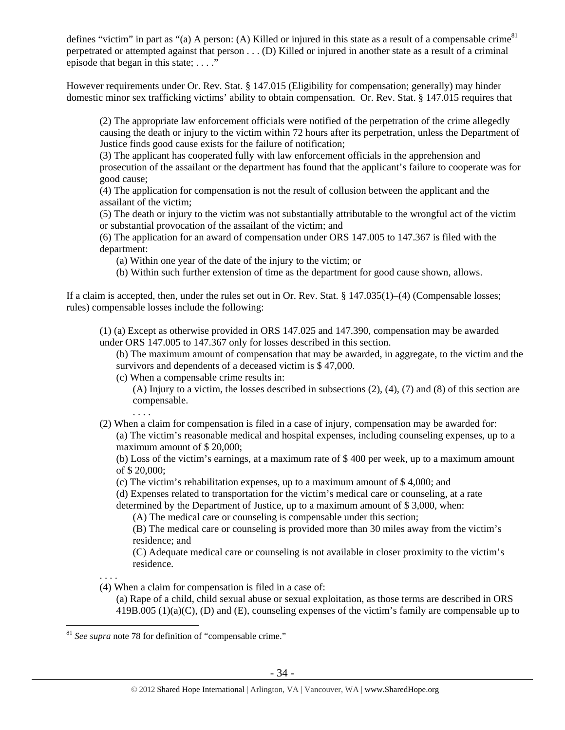defines "victim" in part as "(a) A person: (A) Killed or injured in this state as a result of a compensable crime<sup>81</sup> perpetrated or attempted against that person . . . (D) Killed or injured in another state as a result of a criminal episode that began in this state; . . . ."

However requirements under Or. Rev. Stat. § 147.015 (Eligibility for compensation; generally) may hinder domestic minor sex trafficking victims' ability to obtain compensation. Or. Rev. Stat. § 147.015 requires that

(2) The appropriate law enforcement officials were notified of the perpetration of the crime allegedly causing the death or injury to the victim within 72 hours after its perpetration, unless the Department of Justice finds good cause exists for the failure of notification;

(3) The applicant has cooperated fully with law enforcement officials in the apprehension and prosecution of the assailant or the department has found that the applicant's failure to cooperate was for good cause;

(4) The application for compensation is not the result of collusion between the applicant and the assailant of the victim;

(5) The death or injury to the victim was not substantially attributable to the wrongful act of the victim or substantial provocation of the assailant of the victim; and

(6) The application for an award of compensation under ORS 147.005 to 147.367 is filed with the department:

(a) Within one year of the date of the injury to the victim; or

(b) Within such further extension of time as the department for good cause shown, allows.

If a claim is accepted, then, under the rules set out in Or. Rev. Stat. § 147.035(1)–(4) (Compensable losses; rules) compensable losses include the following:

(1) (a) Except as otherwise provided in ORS 147.025 and 147.390, compensation may be awarded under ORS 147.005 to 147.367 only for losses described in this section.

(b) The maximum amount of compensation that may be awarded, in aggregate, to the victim and the survivors and dependents of a deceased victim is \$47,000.

(c) When a compensable crime results in:

(A) Injury to a victim, the losses described in subsections (2), (4), (7) and (8) of this section are compensable.

. . . .

(2) When a claim for compensation is filed in a case of injury, compensation may be awarded for:

(a) The victim's reasonable medical and hospital expenses, including counseling expenses, up to a maximum amount of \$ 20,000;

(b) Loss of the victim's earnings, at a maximum rate of \$ 400 per week, up to a maximum amount of \$ 20,000;

(c) The victim's rehabilitation expenses, up to a maximum amount of \$ 4,000; and

(d) Expenses related to transportation for the victim's medical care or counseling, at a rate

determined by the Department of Justice, up to a maximum amount of \$ 3,000, when:

(A) The medical care or counseling is compensable under this section;

(B) The medical care or counseling is provided more than 30 miles away from the victim's residence; and

(C) Adequate medical care or counseling is not available in closer proximity to the victim's residence.

. . . .

(4) When a claim for compensation is filed in a case of:

(a) Rape of a child, child sexual abuse or sexual exploitation, as those terms are described in ORS 419B.005 (1)(a)(C), (D) and (E), counseling expenses of the victim's family are compensable up to

 $\overline{a}$ <sup>81</sup> *See supra* note 78 for definition of "compensable crime."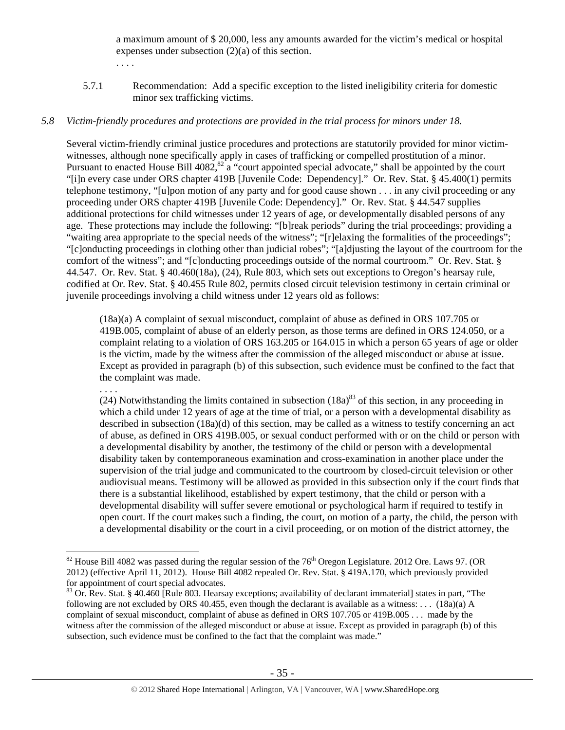a maximum amount of \$ 20,000, less any amounts awarded for the victim's medical or hospital expenses under subsection (2)(a) of this section.

- . . . .
- 5.7.1 Recommendation: Add a specific exception to the listed ineligibility criteria for domestic minor sex trafficking victims.

## *5.8 Victim-friendly procedures and protections are provided in the trial process for minors under 18.*

Several victim-friendly criminal justice procedures and protections are statutorily provided for minor victimwitnesses, although none specifically apply in cases of trafficking or compelled prostitution of a minor. Pursuant to enacted House Bill  $4082$ ,  $82\ a$  "court appointed special advocate," shall be appointed by the court "[i]n every case under ORS chapter 419B [Juvenile Code: Dependency]." Or. Rev. Stat. § 45.400(1) permits telephone testimony, "[u]pon motion of any party and for good cause shown . . . in any civil proceeding or any proceeding under ORS chapter 419B [Juvenile Code: Dependency]." Or. Rev. Stat. § 44.547 supplies additional protections for child witnesses under 12 years of age, or developmentally disabled persons of any age. These protections may include the following: "[b]reak periods" during the trial proceedings; providing a "waiting area appropriate to the special needs of the witness"; "[r]elaxing the formalities of the proceedings"; "[c]onducting proceedings in clothing other than judicial robes"; "[a]djusting the layout of the courtroom for the comfort of the witness"; and "[c]onducting proceedings outside of the normal courtroom." Or. Rev. Stat. § 44.547. Or. Rev. Stat. § 40.460(18a), (24), Rule 803, which sets out exceptions to Oregon's hearsay rule, codified at Or. Rev. Stat. § 40.455 Rule 802, permits closed circuit television testimony in certain criminal or juvenile proceedings involving a child witness under 12 years old as follows:

(18a)(a) A complaint of sexual misconduct, complaint of abuse as defined in ORS 107.705 or 419B.005, complaint of abuse of an elderly person, as those terms are defined in ORS 124.050, or a complaint relating to a violation of ORS 163.205 or 164.015 in which a person 65 years of age or older is the victim, made by the witness after the commission of the alleged misconduct or abuse at issue. Except as provided in paragraph (b) of this subsection, such evidence must be confined to the fact that the complaint was made.

. . . .

 $\overline{a}$ 

(24) Notwithstanding the limits contained in subsection  $(18a)^{83}$  of this section, in any proceeding in which a child under 12 years of age at the time of trial, or a person with a developmental disability as described in subsection (18a)(d) of this section, may be called as a witness to testify concerning an act of abuse, as defined in ORS 419B.005, or sexual conduct performed with or on the child or person with a developmental disability by another, the testimony of the child or person with a developmental disability taken by contemporaneous examination and cross-examination in another place under the supervision of the trial judge and communicated to the courtroom by closed-circuit television or other audiovisual means. Testimony will be allowed as provided in this subsection only if the court finds that there is a substantial likelihood, established by expert testimony, that the child or person with a developmental disability will suffer severe emotional or psychological harm if required to testify in open court. If the court makes such a finding, the court, on motion of a party, the child, the person with a developmental disability or the court in a civil proceeding, or on motion of the district attorney, the

 $82$  House Bill 4082 was passed during the regular session of the 76<sup>th</sup> Oregon Legislature. 2012 Ore. Laws 97. (OR 2012) (effective April 11, 2012). House Bill 4082 repealed Or. Rev. Stat. § 419A.170, which previously provided

 $^{83}$  Or. Rev. Stat. § 40.460 [Rule 803. Hearsay exceptions; availability of declarant immaterial] states in part, "The following are not excluded by ORS 40.455, even though the declarant is available as a witness: . . .  $(18a)(a)$  A complaint of sexual misconduct, complaint of abuse as defined in ORS 107.705 or 419B.005 . . . made by the witness after the commission of the alleged misconduct or abuse at issue. Except as provided in paragraph (b) of this subsection, such evidence must be confined to the fact that the complaint was made."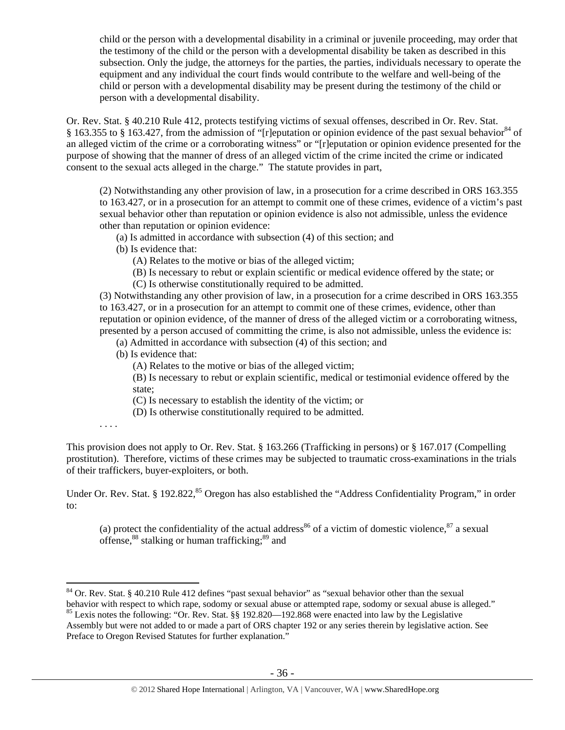child or the person with a developmental disability in a criminal or juvenile proceeding, may order that the testimony of the child or the person with a developmental disability be taken as described in this subsection. Only the judge, the attorneys for the parties, the parties, individuals necessary to operate the equipment and any individual the court finds would contribute to the welfare and well-being of the child or person with a developmental disability may be present during the testimony of the child or person with a developmental disability.

Or. Rev. Stat. § 40.210 Rule 412, protects testifying victims of sexual offenses, described in Or. Rev. Stat. § 163.355 to § 163.427, from the admission of "[r]eputation or opinion evidence of the past sexual behavior<sup>84</sup> of an alleged victim of the crime or a corroborating witness" or "[r]eputation or opinion evidence presented for the purpose of showing that the manner of dress of an alleged victim of the crime incited the crime or indicated consent to the sexual acts alleged in the charge." The statute provides in part,

(2) Notwithstanding any other provision of law, in a prosecution for a crime described in ORS 163.355 to 163.427, or in a prosecution for an attempt to commit one of these crimes, evidence of a victim's past sexual behavior other than reputation or opinion evidence is also not admissible, unless the evidence other than reputation or opinion evidence:

- (a) Is admitted in accordance with subsection (4) of this section; and
- (b) Is evidence that:
	- (A) Relates to the motive or bias of the alleged victim;
	- (B) Is necessary to rebut or explain scientific or medical evidence offered by the state; or
	- (C) Is otherwise constitutionally required to be admitted.

(3) Notwithstanding any other provision of law, in a prosecution for a crime described in ORS 163.355 to 163.427, or in a prosecution for an attempt to commit one of these crimes, evidence, other than reputation or opinion evidence, of the manner of dress of the alleged victim or a corroborating witness, presented by a person accused of committing the crime, is also not admissible, unless the evidence is:

(a) Admitted in accordance with subsection (4) of this section; and

(b) Is evidence that:

(A) Relates to the motive or bias of the alleged victim;

(B) Is necessary to rebut or explain scientific, medical or testimonial evidence offered by the state;

(C) Is necessary to establish the identity of the victim; or

(D) Is otherwise constitutionally required to be admitted.

. . . .

 $\overline{a}$ 

This provision does not apply to Or. Rev. Stat. § 163.266 (Trafficking in persons) or § 167.017 (Compelling prostitution). Therefore, victims of these crimes may be subjected to traumatic cross-examinations in the trials of their traffickers, buyer-exploiters, or both.

Under Or. Rev. Stat. § 192.822,<sup>85</sup> Oregon has also established the "Address Confidentiality Program," in order to:

(a) protect the confidentiality of the actual address<sup>86</sup> of a victim of domestic violence,  $87$  a sexual offense,<sup>88</sup> stalking or human trafficking;<sup>89</sup> and

<sup>&</sup>lt;sup>84</sup> Or. Rev. Stat. § 40.210 Rule 412 defines "past sexual behavior" as "sexual behavior other than the sexual behavior with respect to which rape, sodomy or sexual abuse or attempted rape, sodomy or sexual abuse is alleged."

<sup>&</sup>lt;sup>85</sup> Lexis notes the following: "Or. Rev. Stat. §§ 192.820—192.868 were enacted into law by the Legislative Assembly but were not added to or made a part of ORS chapter 192 or any series therein by legislative action. See Preface to Oregon Revised Statutes for further explanation."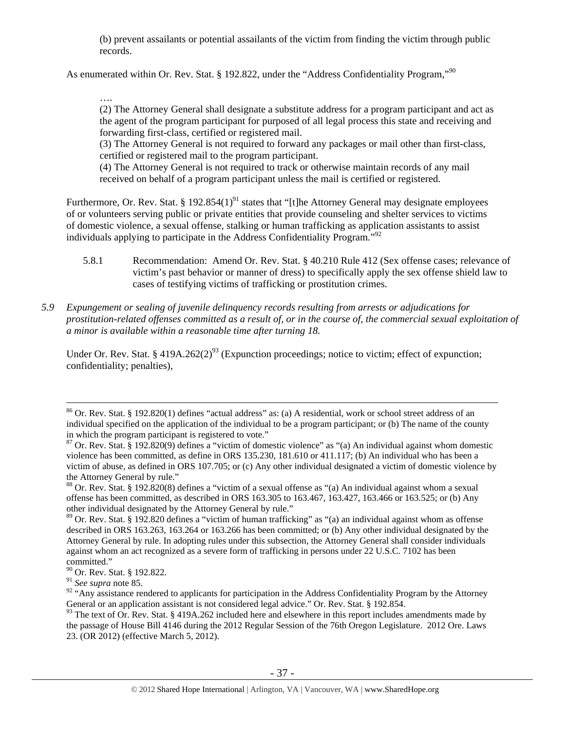(b) prevent assailants or potential assailants of the victim from finding the victim through public records.

As enumerated within Or. Rev. Stat. § 192.822, under the "Address Confidentiality Program,"<sup>90</sup>

….

(2) The Attorney General shall designate a substitute address for a program participant and act as the agent of the program participant for purposed of all legal process this state and receiving and forwarding first-class, certified or registered mail.

(3) The Attorney General is not required to forward any packages or mail other than first-class, certified or registered mail to the program participant.

(4) The Attorney General is not required to track or otherwise maintain records of any mail received on behalf of a program participant unless the mail is certified or registered.

Furthermore, Or. Rev. Stat. § 192.854(1)<sup>91</sup> states that "[t]he Attorney General may designate employees of or volunteers serving public or private entities that provide counseling and shelter services to victims of domestic violence, a sexual offense, stalking or human trafficking as application assistants to assist individuals applying to participate in the Address Confidentiality Program."92

- 5.8.1 Recommendation: Amend Or. Rev. Stat. § 40.210 Rule 412 (Sex offense cases; relevance of victim's past behavior or manner of dress) to specifically apply the sex offense shield law to cases of testifying victims of trafficking or prostitution crimes.
- *5.9 Expungement or sealing of juvenile delinquency records resulting from arrests or adjudications for prostitution-related offenses committed as a result of, or in the course of, the commercial sexual exploitation of a minor is available within a reasonable time after turning 18.*

Under Or. Rev. Stat. § 419A.262(2)<sup>93</sup> (Expunction proceedings; notice to victim; effect of expunction; confidentiality; penalties),

 <sup>86</sup> Or. Rev. Stat. § 192.820(1) defines "actual address" as: (a) A residential, work or school street address of an individual specified on the application of the individual to be a program participant; or (b) The name of the county in which the program participant is registered to vote."

 $87$  Or. Rev. Stat. § 192.820(9) defines a "victim of domestic violence" as "(a) An individual against whom domestic violence has been committed, as define in ORS 135.230, 181.610 or 411.117; (b) An individual who has been a victim of abuse, as defined in ORS 107.705; or (c) Any other individual designated a victim of domestic violence by the Attorney General by rule."

<sup>&</sup>lt;sup>88</sup> Or. Rev. Stat. § 192.820(8) defines a "victim of a sexual offense as "(a) An individual against whom a sexual offense has been committed, as described in ORS 163.305 to 163.467, 163.427, 163.466 or 163.525; or (b) Any other individual designated by the Attorney General by rule."

<sup>89</sup> Or. Rev. Stat. § 192.820 defines a "victim of human trafficking" as "(a) an individual against whom as offense described in ORS 163.263, 163.264 or 163.266 has been committed; or (b) Any other individual designated by the Attorney General by rule. In adopting rules under this subsection, the Attorney General shall consider individuals against whom an act recognized as a severe form of trafficking in persons under 22 U.S.C. 7102 has been committed."

<sup>&</sup>lt;sup>90</sup> Or. Rev. Stat. § 192.822.

<sup>91</sup> *See supra* note 85.

<sup>&</sup>lt;sup>92</sup> "Any assistance rendered to applicants for participation in the Address Confidentiality Program by the Attorney General or an application assistant is not considered legal advice." Or. Rev. Stat. § 192.854.

 $93$  The text of Or. Rev. Stat. § 419A.262 included here and elsewhere in this report includes amendments made by the passage of House Bill 4146 during the 2012 Regular Session of the 76th Oregon Legislature. 2012 Ore. Laws 23. (OR 2012) (effective March 5, 2012).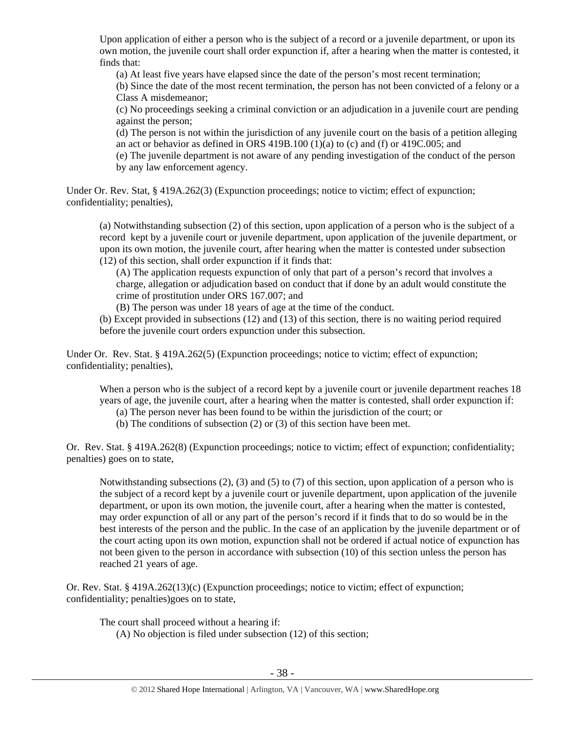Upon application of either a person who is the subject of a record or a juvenile department, or upon its own motion, the juvenile court shall order expunction if, after a hearing when the matter is contested, it finds that:

(a) At least five years have elapsed since the date of the person's most recent termination;

(b) Since the date of the most recent termination, the person has not been convicted of a felony or a Class A misdemeanor;

(c) No proceedings seeking a criminal conviction or an adjudication in a juvenile court are pending against the person;

(d) The person is not within the jurisdiction of any juvenile court on the basis of a petition alleging an act or behavior as defined in ORS  $419B.100 (1)(a)$  to (c) and (f) or  $419C.005$ ; and

(e) The juvenile department is not aware of any pending investigation of the conduct of the person by any law enforcement agency.

Under Or. Rev. Stat, § 419A.262(3) (Expunction proceedings; notice to victim; effect of expunction; confidentiality; penalties),

(a) Notwithstanding subsection (2) of this section, upon application of a person who is the subject of a record kept by a juvenile court or juvenile department, upon application of the juvenile department, or upon its own motion, the juvenile court, after hearing when the matter is contested under subsection (12) of this section, shall order expunction if it finds that:

(A) The application requests expunction of only that part of a person's record that involves a charge, allegation or adjudication based on conduct that if done by an adult would constitute the crime of prostitution under ORS 167.007; and

(B) The person was under 18 years of age at the time of the conduct.

(b) Except provided in subsections (12) and (13) of this section, there is no waiting period required before the juvenile court orders expunction under this subsection.

Under Or. Rev. Stat. § 419A.262(5) (Expunction proceedings; notice to victim; effect of expunction; confidentiality; penalties),

When a person who is the subject of a record kept by a juvenile court or juvenile department reaches 18 years of age, the juvenile court, after a hearing when the matter is contested, shall order expunction if:

- (a) The person never has been found to be within the jurisdiction of the court; or
- (b) The conditions of subsection (2) or (3) of this section have been met.

Or. Rev. Stat. § 419A.262(8) (Expunction proceedings; notice to victim; effect of expunction; confidentiality; penalties) goes on to state,

Notwithstanding subsections (2), (3) and (5) to (7) of this section, upon application of a person who is the subject of a record kept by a juvenile court or juvenile department, upon application of the juvenile department, or upon its own motion, the juvenile court, after a hearing when the matter is contested, may order expunction of all or any part of the person's record if it finds that to do so would be in the best interests of the person and the public. In the case of an application by the juvenile department or of the court acting upon its own motion, expunction shall not be ordered if actual notice of expunction has not been given to the person in accordance with subsection (10) of this section unless the person has reached 21 years of age.

Or. Rev. Stat. § 419A.262(13)(c) (Expunction proceedings; notice to victim; effect of expunction; confidentiality; penalties)goes on to state,

The court shall proceed without a hearing if:

(A) No objection is filed under subsection (12) of this section;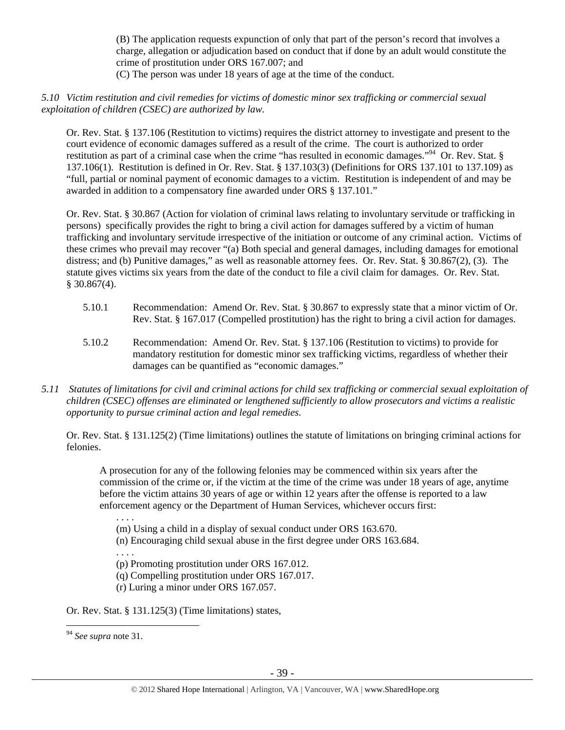(B) The application requests expunction of only that part of the person's record that involves a charge, allegation or adjudication based on conduct that if done by an adult would constitute the crime of prostitution under ORS 167.007; and (C) The person was under 18 years of age at the time of the conduct.

## *5.10 Victim restitution and civil remedies for victims of domestic minor sex trafficking or commercial sexual exploitation of children (CSEC) are authorized by law.*

Or. Rev. Stat. § 137.106 (Restitution to victims) requires the district attorney to investigate and present to the court evidence of economic damages suffered as a result of the crime. The court is authorized to order restitution as part of a criminal case when the crime "has resulted in economic damages."94 Or. Rev. Stat. § 137.106(1). Restitution is defined in Or. Rev. Stat. § 137.103(3) (Definitions for ORS 137.101 to 137.109) as "full, partial or nominal payment of economic damages to a victim. Restitution is independent of and may be awarded in addition to a compensatory fine awarded under ORS § 137.101."

Or. Rev. Stat. § 30.867 (Action for violation of criminal laws relating to involuntary servitude or trafficking in persons) specifically provides the right to bring a civil action for damages suffered by a victim of human trafficking and involuntary servitude irrespective of the initiation or outcome of any criminal action. Victims of these crimes who prevail may recover "(a) Both special and general damages, including damages for emotional distress; and (b) Punitive damages," as well as reasonable attorney fees. Or. Rev. Stat. § 30.867(2), (3). The statute gives victims six years from the date of the conduct to file a civil claim for damages. Or. Rev. Stat.  $$30.867(4).$ 

- 5.10.1 Recommendation: Amend Or. Rev. Stat. § 30.867 to expressly state that a minor victim of Or. Rev. Stat. § 167.017 (Compelled prostitution) has the right to bring a civil action for damages.
- 5.10.2 Recommendation: Amend Or. Rev. Stat. § 137.106 (Restitution to victims) to provide for mandatory restitution for domestic minor sex trafficking victims, regardless of whether their damages can be quantified as "economic damages."
- *5.11 Statutes of limitations for civil and criminal actions for child sex trafficking or commercial sexual exploitation of children (CSEC) offenses are eliminated or lengthened sufficiently to allow prosecutors and victims a realistic opportunity to pursue criminal action and legal remedies.*

Or. Rev. Stat. § 131.125(2) (Time limitations) outlines the statute of limitations on bringing criminal actions for felonies.

A prosecution for any of the following felonies may be commenced within six years after the commission of the crime or, if the victim at the time of the crime was under 18 years of age, anytime before the victim attains 30 years of age or within 12 years after the offense is reported to a law enforcement agency or the Department of Human Services, whichever occurs first:

. . . .

(m) Using a child in a display of sexual conduct under ORS 163.670.

(n) Encouraging child sexual abuse in the first degree under ORS 163.684.

. . . .

- (p) Promoting prostitution under ORS 167.012.
- (q) Compelling prostitution under ORS 167.017.
- (r) Luring a minor under ORS 167.057.

Or. Rev. Stat. § 131.125(3) (Time limitations) states,

 $\overline{a}$ 

<sup>94</sup> *See supra* note 31.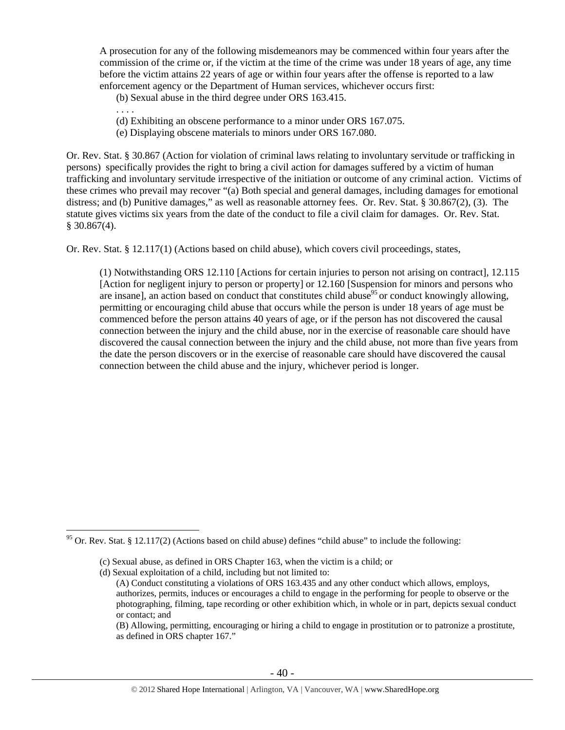A prosecution for any of the following misdemeanors may be commenced within four years after the commission of the crime or, if the victim at the time of the crime was under 18 years of age, any time before the victim attains 22 years of age or within four years after the offense is reported to a law enforcement agency or the Department of Human services, whichever occurs first:

(b) Sexual abuse in the third degree under ORS 163.415.

- . . . .
- (d) Exhibiting an obscene performance to a minor under ORS 167.075.
- (e) Displaying obscene materials to minors under ORS 167.080.

Or. Rev. Stat. § 30.867 (Action for violation of criminal laws relating to involuntary servitude or trafficking in persons) specifically provides the right to bring a civil action for damages suffered by a victim of human trafficking and involuntary servitude irrespective of the initiation or outcome of any criminal action. Victims of these crimes who prevail may recover "(a) Both special and general damages, including damages for emotional distress; and (b) Punitive damages," as well as reasonable attorney fees. Or. Rev. Stat. § 30.867(2), (3). The statute gives victims six years from the date of the conduct to file a civil claim for damages. Or. Rev. Stat.  $$30.867(4)$ .

Or. Rev. Stat. § 12.117(1) (Actions based on child abuse), which covers civil proceedings, states,

(1) Notwithstanding ORS 12.110 [Actions for certain injuries to person not arising on contract], 12.115 [Action for negligent injury to person or property] or 12.160 [Suspension for minors and persons who are insane], an action based on conduct that constitutes child abuse<sup>95</sup> or conduct knowingly allowing, permitting or encouraging child abuse that occurs while the person is under 18 years of age must be commenced before the person attains 40 years of age, or if the person has not discovered the causal connection between the injury and the child abuse, nor in the exercise of reasonable care should have discovered the causal connection between the injury and the child abuse, not more than five years from the date the person discovers or in the exercise of reasonable care should have discovered the causal connection between the child abuse and the injury, whichever period is longer.

 $\overline{a}$  $95$  Or. Rev. Stat. § 12.117(2) (Actions based on child abuse) defines "child abuse" to include the following:

<sup>(</sup>c) Sexual abuse, as defined in ORS Chapter 163, when the victim is a child; or

<sup>(</sup>d) Sexual exploitation of a child, including but not limited to:

<sup>(</sup>A) Conduct constituting a violations of ORS 163.435 and any other conduct which allows, employs, authorizes, permits, induces or encourages a child to engage in the performing for people to observe or the photographing, filming, tape recording or other exhibition which, in whole or in part, depicts sexual conduct or contact; and

<sup>(</sup>B) Allowing, permitting, encouraging or hiring a child to engage in prostitution or to patronize a prostitute, as defined in ORS chapter 167."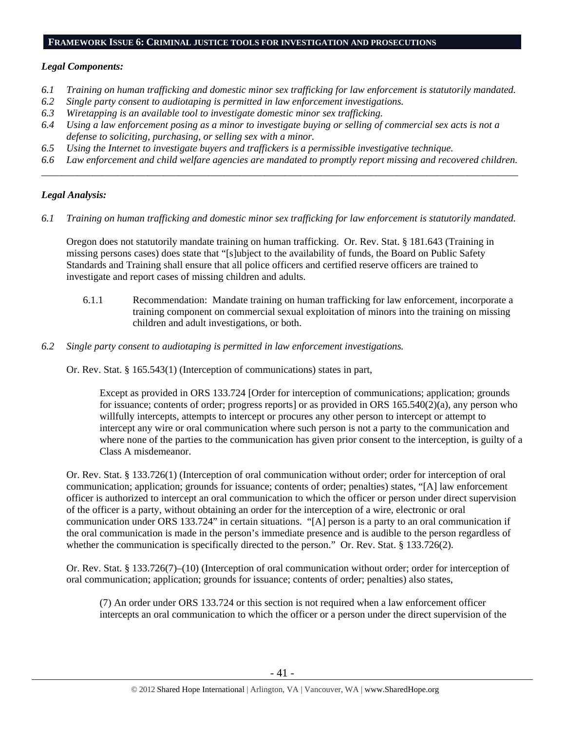#### **FRAMEWORK ISSUE 6: CRIMINAL JUSTICE TOOLS FOR INVESTIGATION AND PROSECUTIONS**

## *Legal Components:*

- *6.1 Training on human trafficking and domestic minor sex trafficking for law enforcement is statutorily mandated.*
- *6.2 Single party consent to audiotaping is permitted in law enforcement investigations.*
- *6.3 Wiretapping is an available tool to investigate domestic minor sex trafficking.*
- *6.4 Using a law enforcement posing as a minor to investigate buying or selling of commercial sex acts is not a defense to soliciting, purchasing, or selling sex with a minor.*
- *6.5 Using the Internet to investigate buyers and traffickers is a permissible investigative technique.*
- *6.6 Law enforcement and child welfare agencies are mandated to promptly report missing and recovered children. \_\_\_\_\_\_\_\_\_\_\_\_\_\_\_\_\_\_\_\_\_\_\_\_\_\_\_\_\_\_\_\_\_\_\_\_\_\_\_\_\_\_\_\_\_\_\_\_\_\_\_\_\_\_\_\_\_\_\_\_\_\_\_\_\_\_\_\_\_\_\_\_\_\_\_\_\_\_\_\_\_\_\_\_\_\_\_\_\_\_\_\_\_\_*

## *Legal Analysis:*

*6.1 Training on human trafficking and domestic minor sex trafficking for law enforcement is statutorily mandated.* 

Oregon does not statutorily mandate training on human trafficking. Or. Rev. Stat. § 181.643 (Training in missing persons cases) does state that "[s]ubject to the availability of funds, the Board on Public Safety Standards and Training shall ensure that all police officers and certified reserve officers are trained to investigate and report cases of missing children and adults.

- 6.1.1 Recommendation: Mandate training on human trafficking for law enforcement, incorporate a training component on commercial sexual exploitation of minors into the training on missing children and adult investigations, or both.
- *6.2 Single party consent to audiotaping is permitted in law enforcement investigations.*

Or. Rev. Stat. § 165.543(1) (Interception of communications) states in part,

Except as provided in ORS 133.724 [Order for interception of communications; application; grounds for issuance; contents of order; progress reports] or as provided in ORS 165.540(2)(a), any person who willfully intercepts, attempts to intercept or procures any other person to intercept or attempt to intercept any wire or oral communication where such person is not a party to the communication and where none of the parties to the communication has given prior consent to the interception, is guilty of a Class A misdemeanor.

Or. Rev. Stat. § 133.726(1) (Interception of oral communication without order; order for interception of oral communication; application; grounds for issuance; contents of order; penalties) states, "[A] law enforcement officer is authorized to intercept an oral communication to which the officer or person under direct supervision of the officer is a party, without obtaining an order for the interception of a wire, electronic or oral communication under ORS 133.724" in certain situations. "[A] person is a party to an oral communication if the oral communication is made in the person's immediate presence and is audible to the person regardless of whether the communication is specifically directed to the person." Or. Rev. Stat. § 133.726(2).

Or. Rev. Stat. § 133.726(7)–(10) (Interception of oral communication without order; order for interception of oral communication; application; grounds for issuance; contents of order; penalties) also states,

(7) An order under ORS 133.724 or this section is not required when a law enforcement officer intercepts an oral communication to which the officer or a person under the direct supervision of the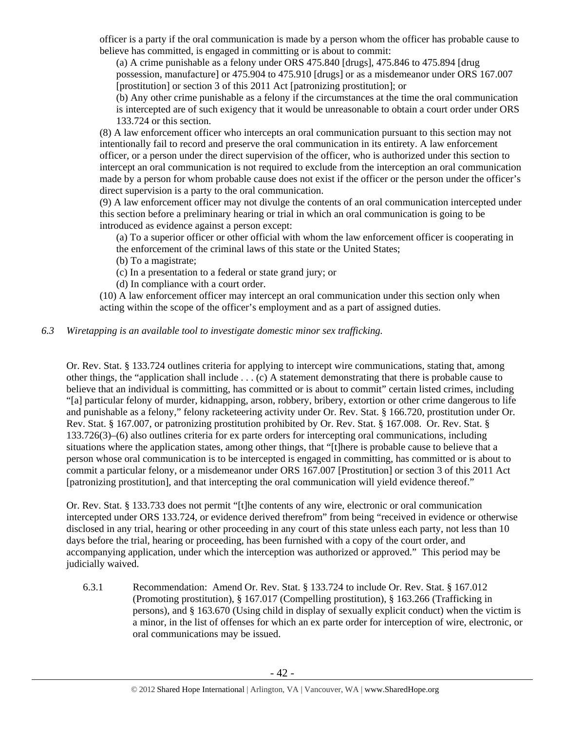officer is a party if the oral communication is made by a person whom the officer has probable cause to believe has committed, is engaged in committing or is about to commit:

(a) A crime punishable as a felony under ORS 475.840 [drugs], 475.846 to 475.894 [drug possession, manufacture] or 475.904 to 475.910 [drugs] or as a misdemeanor under ORS 167.007 [prostitution] or section 3 of this 2011 Act [patronizing prostitution]; or

(b) Any other crime punishable as a felony if the circumstances at the time the oral communication is intercepted are of such exigency that it would be unreasonable to obtain a court order under ORS 133.724 or this section.

(8) A law enforcement officer who intercepts an oral communication pursuant to this section may not intentionally fail to record and preserve the oral communication in its entirety. A law enforcement officer, or a person under the direct supervision of the officer, who is authorized under this section to intercept an oral communication is not required to exclude from the interception an oral communication made by a person for whom probable cause does not exist if the officer or the person under the officer's direct supervision is a party to the oral communication.

(9) A law enforcement officer may not divulge the contents of an oral communication intercepted under this section before a preliminary hearing or trial in which an oral communication is going to be introduced as evidence against a person except:

(a) To a superior officer or other official with whom the law enforcement officer is cooperating in the enforcement of the criminal laws of this state or the United States;

(b) To a magistrate;

(c) In a presentation to a federal or state grand jury; or

(d) In compliance with a court order.

(10) A law enforcement officer may intercept an oral communication under this section only when acting within the scope of the officer's employment and as a part of assigned duties.

# *6.3 Wiretapping is an available tool to investigate domestic minor sex trafficking.*

Or. Rev. Stat. § 133.724 outlines criteria for applying to intercept wire communications, stating that, among other things, the "application shall include . . . (c) A statement demonstrating that there is probable cause to believe that an individual is committing, has committed or is about to commit" certain listed crimes, including "[a] particular felony of murder, kidnapping, arson, robbery, bribery, extortion or other crime dangerous to life and punishable as a felony," felony racketeering activity under Or. Rev. Stat. § 166.720, prostitution under Or. Rev. Stat. § 167.007, or patronizing prostitution prohibited by Or. Rev. Stat. § 167.008. Or. Rev. Stat. § 133.726(3)–(6) also outlines criteria for ex parte orders for intercepting oral communications, including situations where the application states, among other things, that "[t]here is probable cause to believe that a person whose oral communication is to be intercepted is engaged in committing, has committed or is about to commit a particular felony, or a misdemeanor under ORS 167.007 [Prostitution] or section 3 of this 2011 Act [patronizing prostitution], and that intercepting the oral communication will yield evidence thereof."

Or. Rev. Stat. § 133.733 does not permit "[t]he contents of any wire, electronic or oral communication intercepted under ORS 133.724, or evidence derived therefrom" from being "received in evidence or otherwise disclosed in any trial, hearing or other proceeding in any court of this state unless each party, not less than 10 days before the trial, hearing or proceeding, has been furnished with a copy of the court order, and accompanying application, under which the interception was authorized or approved." This period may be judicially waived.

6.3.1 Recommendation: Amend Or. Rev. Stat. § 133.724 to include Or. Rev. Stat. § 167.012 (Promoting prostitution), § 167.017 (Compelling prostitution), § 163.266 (Trafficking in persons), and § 163.670 (Using child in display of sexually explicit conduct) when the victim is a minor, in the list of offenses for which an ex parte order for interception of wire, electronic, or oral communications may be issued.